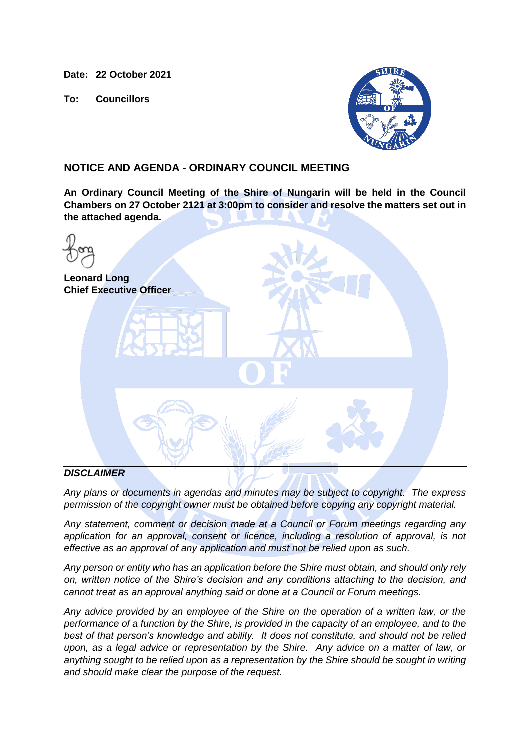**Date: 22 October 2021**

**To: Councillors**



### **NOTICE AND AGENDA - ORDINARY COUNCIL MEETING**

**An Ordinary Council Meeting of the Shire of Nungarin will be held in the Council Chambers on 27 October 2121 at 3:00pm to consider and resolve the matters set out in the attached agenda.**

| <b>Leonard Long</b><br><b>Chief Executive Officer</b> |           |  |
|-------------------------------------------------------|-----------|--|
|                                                       | $\bullet$ |  |
|                                                       |           |  |
| <b>NICOL AIMED</b>                                    |           |  |

### *DISCLAIMER*

*Any plans or documents in agendas and minutes may be subject to copyright. The express permission of the copyright owner must be obtained before copying any copyright material.*

*Any statement, comment or decision made at a Council or Forum meetings regarding any application for an approval, consent or licence, including a resolution of approval, is not effective as an approval of any application and must not be relied upon as such.*

*Any person or entity who has an application before the Shire must obtain, and should only rely on, written notice of the Shire's decision and any conditions attaching to the decision, and cannot treat as an approval anything said or done at a Council or Forum meetings.*

*Any advice provided by an employee of the Shire on the operation of a written law, or the performance of a function by the Shire, is provided in the capacity of an employee, and to the best of that person's knowledge and ability. It does not constitute, and should not be relied upon, as a legal advice or representation by the Shire. Any advice on a matter of law, or anything sought to be relied upon as a representation by the Shire should be sought in writing and should make clear the purpose of the request.*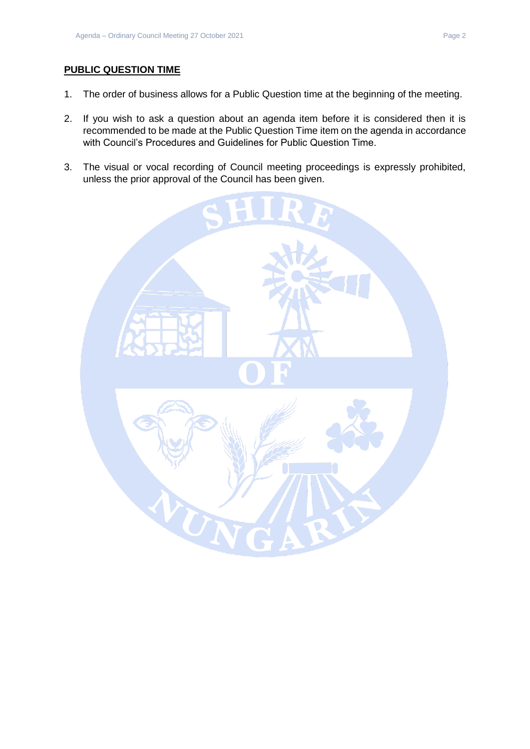### **PUBLIC QUESTION TIME**

- 1. The order of business allows for a Public Question time at the beginning of the meeting.
- 2. If you wish to ask a question about an agenda item before it is considered then it is recommended to be made at the Public Question Time item on the agenda in accordance with Council's Procedures and Guidelines for Public Question Time.
- 3. The visual or vocal recording of Council meeting proceedings is expressly prohibited, unless the prior approval of the Council has been given.

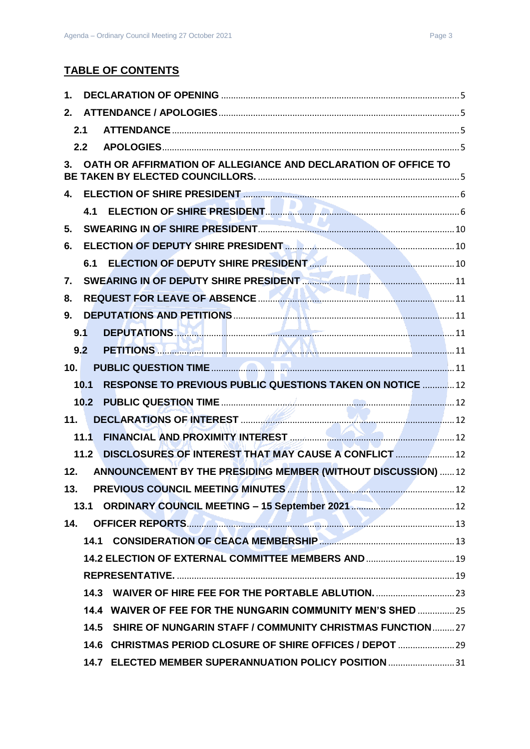## **TABLE OF CONTENTS**

| 1.   |      |                                                                                        |  |
|------|------|----------------------------------------------------------------------------------------|--|
| 2.   |      |                                                                                        |  |
|      | 2.1  |                                                                                        |  |
|      | 2.2  |                                                                                        |  |
| $3-$ |      | OATH OR AFFIRMATION OF ALLEGIANCE AND DECLARATION OF OFFICE TO                         |  |
| $4-$ |      |                                                                                        |  |
|      |      | 4.1 ELECTION OF SHIRE PRESIDENT.                                                       |  |
| 5.   |      |                                                                                        |  |
| 6.   |      |                                                                                        |  |
|      |      | 6.1 ELECTION OF DEPUTY SHIRE PRESIDENT <b>CONTENT AND RESIDENT</b> 30                  |  |
| 7.   |      | SWEARING IN OF DEPUTY SHIRE PRESIDENT <b>WAS SWEARING IN OF DEPUTY SHIRE PRESIDENT</b> |  |
| 8.   |      |                                                                                        |  |
| 9.   |      |                                                                                        |  |
|      | 9.1  |                                                                                        |  |
|      | 9.2  | PETITIONS 1.2 200 11                                                                   |  |
| 10.  |      |                                                                                        |  |
|      | 10.1 | <b>RESPONSE TO PREVIOUS PUBLIC QUESTIONS TAKEN ON NOTICE  12</b>                       |  |
|      | 10.2 |                                                                                        |  |
| 11.1 |      |                                                                                        |  |
|      | 11.1 |                                                                                        |  |
|      | 11.2 | DISCLOSURES OF INTEREST THAT MAY CAUSE A CONFLICT  12                                  |  |
| 12.  |      | ANNOUNCEMENT BY THE PRESIDING MEMBER (WITHOUT DISCUSSION)  12                          |  |
| 13.  |      | PREVIOUS COUNCIL MEETING MINUTES                                                       |  |
|      |      |                                                                                        |  |
| 14.  |      |                                                                                        |  |
|      | 14.1 |                                                                                        |  |
|      |      | 14.2 ELECTION OF EXTERNAL COMMITTEE MEMBERS AND  19                                    |  |
|      |      |                                                                                        |  |
|      | 14.3 |                                                                                        |  |
|      |      | 14.4 WAIVER OF FEE FOR THE NUNGARIN COMMUNITY MEN'S SHED  25                           |  |
|      | 14.5 | SHIRE OF NUNGARIN STAFF / COMMUNITY CHRISTMAS FUNCTION27                               |  |
|      |      | 14.6 CHRISTMAS PERIOD CLOSURE OF SHIRE OFFICES / DEPOT  29                             |  |
|      |      | 14.7 ELECTED MEMBER SUPERANNUATION POLICY POSITION 31                                  |  |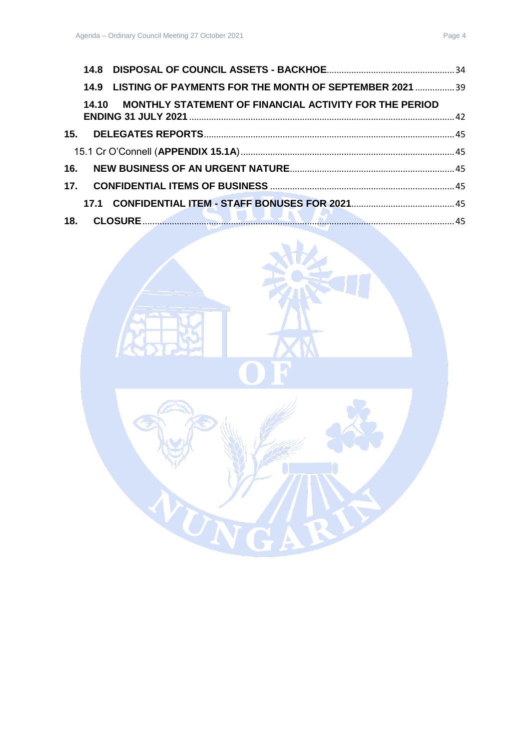| 14.9 LISTING OF PAYMENTS FOR THE MONTH OF SEPTEMBER 2021  39                                                                                                                                                                     |  |
|----------------------------------------------------------------------------------------------------------------------------------------------------------------------------------------------------------------------------------|--|
| 14.10 MONTHLY STATEMENT OF FINANCIAL ACTIVITY FOR THE PERIOD                                                                                                                                                                     |  |
|                                                                                                                                                                                                                                  |  |
|                                                                                                                                                                                                                                  |  |
|                                                                                                                                                                                                                                  |  |
|                                                                                                                                                                                                                                  |  |
|                                                                                                                                                                                                                                  |  |
| $\mathbf{r}$ , as a set of the set of the set of the set of the set of the set of the set of the set of the set of the set of the set of the set of the set of the set of the set of the set of the set of the set of the set of |  |

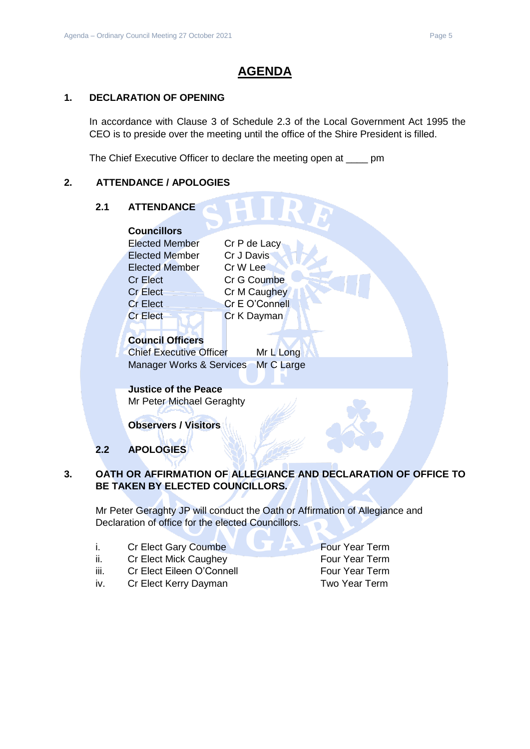# **AGENDA**

### <span id="page-4-0"></span>**1. DECLARATION OF OPENING**

In accordance with Clause 3 of Schedule 2.3 of the Local Government Act 1995 the CEO is to preside over the meeting until the office of the Shire President is filled.

The Chief Executive Officer to declare the meeting open at \_\_\_\_ pm

### <span id="page-4-2"></span><span id="page-4-1"></span>**2. ATTENDANCE / APOLOGIES**

# **2.1 ATTENDANCE Councillors** Elected Member Cr P de Lacy Elected Member Cr J Davis Elected Member Cr W Lee Cr Elect Cr G Coumbe Cr Elect Cr M Caughey Cr Elect Cr E O'Connell Cr Elect Cr K Dayman **Council Officers** Chief Executive Officer Mr L Long Manager Works & Services Mr C Large **Justice of the Peace**  Mr Peter Michael Geraghty **Observers / Visitors**

**2.2 APOLOGIES**

### <span id="page-4-4"></span><span id="page-4-3"></span>**3. OATH OR AFFIRMATION OF ALLEGIANCE AND DECLARATION OF OFFICE TO BE TAKEN BY ELECTED COUNCILLORS.**

Mr Peter Geraghty JP will conduct the Oath or Affirmation of Allegiance and Declaration of office for the elected Councillors.

- i. Cr Elect Gary Coumbe **Four Year Term**
- ii. Cr Elect Mick Caughey **Four Year Term**
- iii. Cr Elect Eileen O'Connell Four Year Term
- iv. Cr Elect Kerry Dayman Two Year Term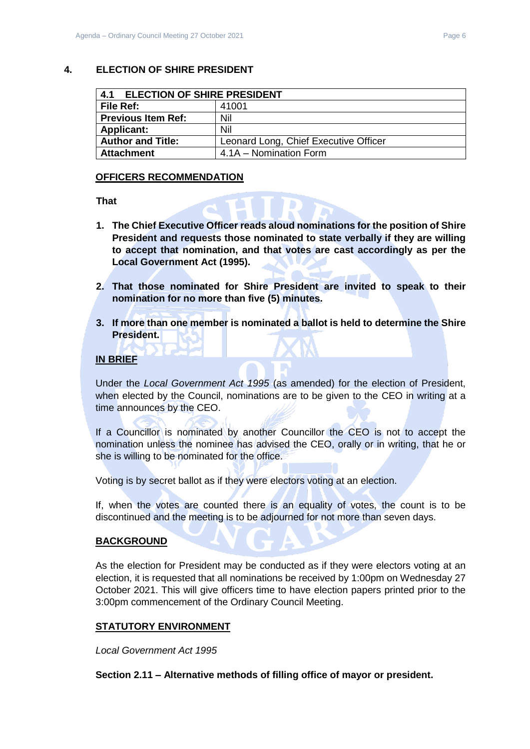<span id="page-5-1"></span><span id="page-5-0"></span>

| 4.1<br><b>ELECTION OF SHIRE PRESIDENT</b> |                                       |
|-------------------------------------------|---------------------------------------|
| l File Ref:                               | 41001                                 |
| <b>Previous Item Ref:</b>                 | Nil                                   |
| <b>Applicant:</b>                         | Nil                                   |
| <b>Author and Title:</b>                  | Leonard Long, Chief Executive Officer |
| <b>Attachment</b>                         | 4.1A – Nomination Form                |

### **OFFICERS RECOMMENDATION**

**That**

- **1. The Chief Executive Officer reads aloud nominations for the position of Shire President and requests those nominated to state verbally if they are willing to accept that nomination, and that votes are cast accordingly as per the Local Government Act (1995).**
- **2. That those nominated for Shire President are invited to speak to their nomination for no more than five (5) minutes.**
- **3. If more than one member is nominated a ballot is held to determine the Shire President.**

### **IN BRIEF**

Under the *Local Government Act 1995* (as amended) for the election of President, when elected by the Council, nominations are to be given to the CEO in writing at a time announces by the CEO.

If a Councillor is nominated by another Councillor the CEO is not to accept the nomination unless the nominee has advised the CEO, orally or in writing, that he or she is willing to be nominated for the office.

Voting is by secret ballot as if they were electors voting at an election.

If, when the votes are counted there is an equality of votes, the count is to be discontinued and the meeting is to be adjourned for not more than seven days.

### **BACKGROUND**

As the election for President may be conducted as if they were electors voting at an election, it is requested that all nominations be received by 1:00pm on Wednesday 27 October 2021. This will give officers time to have election papers printed prior to the 3:00pm commencement of the Ordinary Council Meeting.

### **STATUTORY ENVIRONMENT**

*Local Government Act 1995*

**Section 2.11 – Alternative methods of filling office of mayor or president.**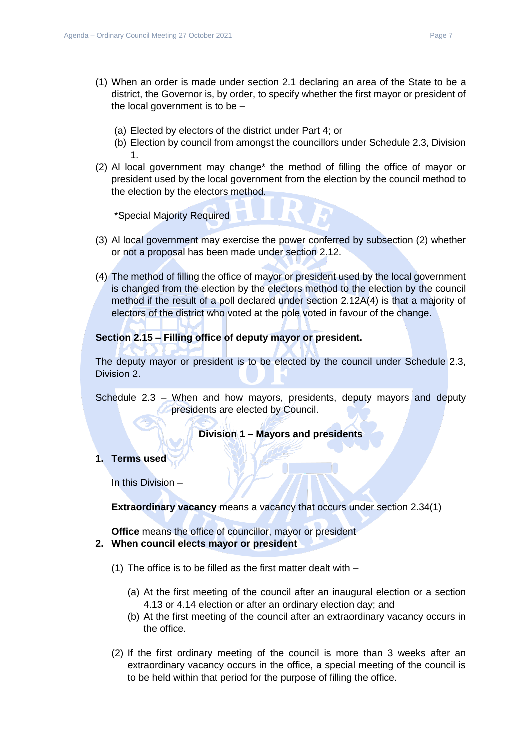- (1) When an order is made under section 2.1 declaring an area of the State to be a district, the Governor is, by order, to specify whether the first mayor or president of the local government is to be –
	- (a) Elected by electors of the district under Part 4; or
	- (b) Election by council from amongst the councillors under Schedule 2.3, Division 1.
- (2) Al local government may change\* the method of filling the office of mayor or president used by the local government from the election by the council method to the election by the electors method.

\*Special Majority Required

- (3) Al local government may exercise the power conferred by subsection (2) whether or not a proposal has been made under section 2.12.
- (4) The method of filling the office of mayor or president used by the local government is changed from the election by the electors method to the election by the council method if the result of a poll declared under section 2.12A(4) is that a majority of electors of the district who voted at the pole voted in favour of the change.

### **Section 2.15 – Filling office of deputy mayor or president.**

The deputy mayor or president is to be elected by the council under Schedule 2.3, Division 2.

Schedule 2.3 – When and how mayors, presidents, deputy mayors and deputy presidents are elected by Council.

**Division 1 – Mayors and presidents**

**1. Terms used**

In this Division –

**Extraordinary vacancy** means a vacancy that occurs under section 2.34(1)

**Office** means the office of councillor, mayor or president **2. When council elects mayor or president**

- (1) The office is to be filled as the first matter dealt with
	- (a) At the first meeting of the council after an inaugural election or a section 4.13 or 4.14 election or after an ordinary election day; and
	- (b) At the first meeting of the council after an extraordinary vacancy occurs in the office.
- (2) If the first ordinary meeting of the council is more than 3 weeks after an extraordinary vacancy occurs in the office, a special meeting of the council is to be held within that period for the purpose of filling the office.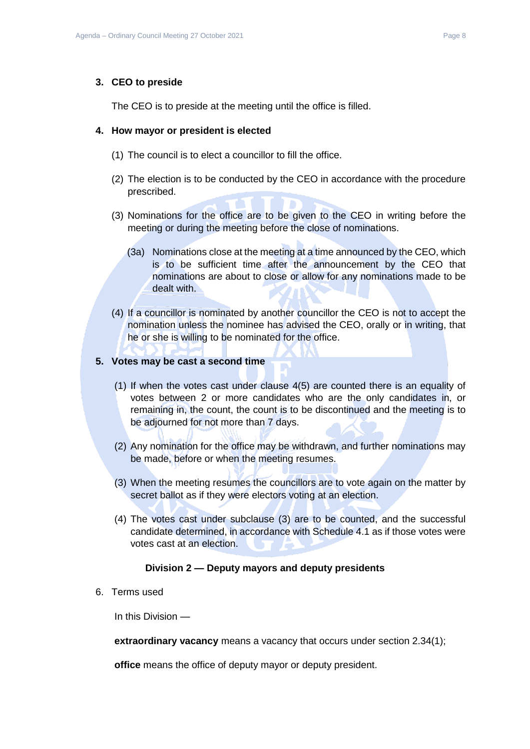#### **3. CEO to preside**

The CEO is to preside at the meeting until the office is filled.

#### **4. How mayor or president is elected**

- (1) The council is to elect a councillor to fill the office.
- (2) The election is to be conducted by the CEO in accordance with the procedure prescribed.
- (3) Nominations for the office are to be given to the CEO in writing before the meeting or during the meeting before the close of nominations.
	- (3a) Nominations close at the meeting at a time announced by the CEO, which is to be sufficient time after the announcement by the CEO that nominations are about to close or allow for any nominations made to be dealt with.
- (4) If a councillor is nominated by another councillor the CEO is not to accept the nomination unless the nominee has advised the CEO, orally or in writing, that he or she is willing to be nominated for the office.

#### **5. Votes may be cast a second time**

- (1) If when the votes cast under clause 4(5) are counted there is an equality of votes between 2 or more candidates who are the only candidates in, or remaining in, the count, the count is to be discontinued and the meeting is to be adjourned for not more than 7 days.
- (2) Any nomination for the office may be withdrawn, and further nominations may be made, before or when the meeting resumes.
- (3) When the meeting resumes the councillors are to vote again on the matter by secret ballot as if they were electors voting at an election.
- (4) The votes cast under subclause (3) are to be counted, and the successful candidate determined, in accordance with Schedule 4.1 as if those votes were votes cast at an election.

#### **Division 2 — Deputy mayors and deputy presidents**

6. Terms used

In this Division —

**extraordinary vacancy** means a vacancy that occurs under section 2.34(1);

**office** means the office of deputy mayor or deputy president.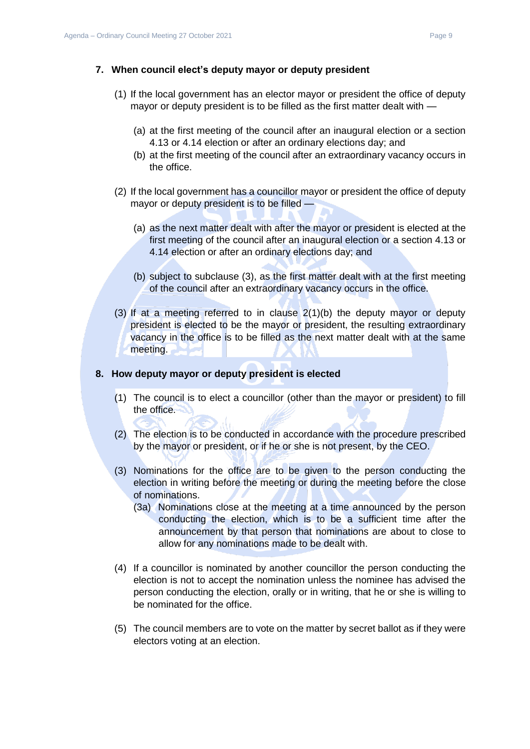### **7. When council elect's deputy mayor or deputy president**

- (1) If the local government has an elector mayor or president the office of deputy mayor or deputy president is to be filled as the first matter dealt with —
	- (a) at the first meeting of the council after an inaugural election or a section 4.13 or 4.14 election or after an ordinary elections day; and
	- (b) at the first meeting of the council after an extraordinary vacancy occurs in the office.
- (2) If the local government has a councillor mayor or president the office of deputy mayor or deputy president is to be filled —
	- (a) as the next matter dealt with after the mayor or president is elected at the first meeting of the council after an inaugural election or a section 4.13 or 4.14 election or after an ordinary elections day; and
	- (b) subject to subclause (3), as the first matter dealt with at the first meeting of the council after an extraordinary vacancy occurs in the office.
- (3) If at a meeting referred to in clause 2(1)(b) the deputy mayor or deputy president is elected to be the mayor or president, the resulting extraordinary vacancy in the office is to be filled as the next matter dealt with at the same meeting.

#### **8. How deputy mayor or deputy president is elected**

- (1) The council is to elect a councillor (other than the mayor or president) to fill the office.
- (2) The election is to be conducted in accordance with the procedure prescribed by the mayor or president, or if he or she is not present, by the CEO.
- (3) Nominations for the office are to be given to the person conducting the election in writing before the meeting or during the meeting before the close of nominations.
	- (3a) Nominations close at the meeting at a time announced by the person conducting the election, which is to be a sufficient time after the announcement by that person that nominations are about to close to allow for any nominations made to be dealt with.
- (4) If a councillor is nominated by another councillor the person conducting the election is not to accept the nomination unless the nominee has advised the person conducting the election, orally or in writing, that he or she is willing to be nominated for the office.
- (5) The council members are to vote on the matter by secret ballot as if they were electors voting at an election.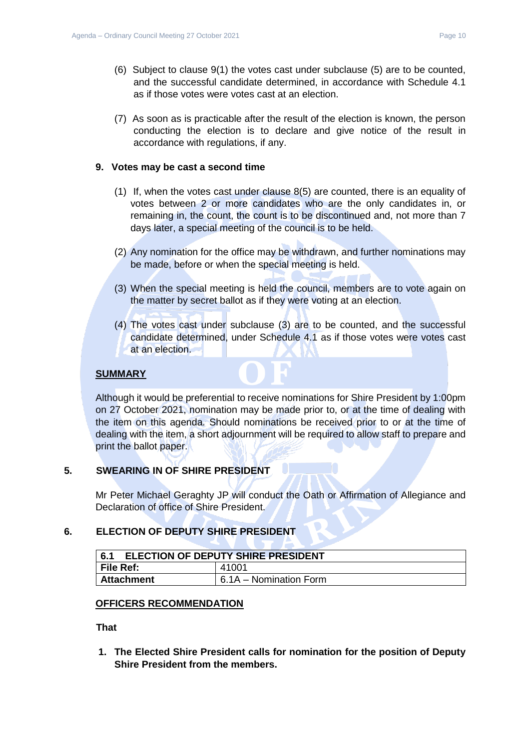- (6) Subject to clause 9(1) the votes cast under subclause (5) are to be counted, and the successful candidate determined, in accordance with Schedule 4.1 as if those votes were votes cast at an election.
- (7) As soon as is practicable after the result of the election is known, the person conducting the election is to declare and give notice of the result in accordance with regulations, if any.

### **9. Votes may be cast a second time**

- (1) If, when the votes cast under clause 8(5) are counted, there is an equality of votes between 2 or more candidates who are the only candidates in, or remaining in, the count, the count is to be discontinued and, not more than 7 days later, a special meeting of the council is to be held.
- (2) Any nomination for the office may be withdrawn, and further nominations may be made, before or when the special meeting is held.
- (3) When the special meeting is held the council, members are to vote again on the matter by secret ballot as if they were voting at an election.
- (4) The votes cast under subclause (3) are to be counted, and the successful candidate determined, under Schedule 4.1 as if those votes were votes cast at an election.

### **SUMMARY**

Although it would be preferential to receive nominations for Shire President by 1:00pm on 27 October 2021, nomination may be made prior to, or at the time of dealing with the item on this agenda. Should nominations be received prior to or at the time of dealing with the item, a short adjournment will be required to allow staff to prepare and print the ballot paper.

### <span id="page-9-0"></span>**5. SWEARING IN OF SHIRE PRESIDENT**

Mr Peter Michael Geraghty JP will conduct the Oath or Affirmation of Allegiance and Declaration of office of Shire President.

#### <span id="page-9-1"></span>**6. ELECTION OF DEPUTY SHIRE PRESIDENT**

<span id="page-9-2"></span>

| <b>ELECTION OF DEPUTY SHIRE PRESIDENT</b><br>6.1 |                        |
|--------------------------------------------------|------------------------|
| <b>File Ref:</b>                                 | 41001                  |
| Attachment                                       | 6.1A – Nomination Form |

#### **OFFICERS RECOMMENDATION**

**That**

**1. The Elected Shire President calls for nomination for the position of Deputy Shire President from the members.**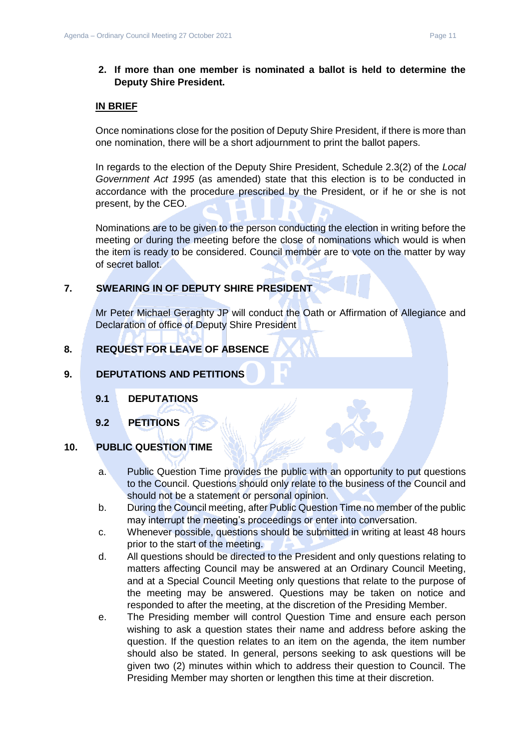### **2. If more than one member is nominated a ballot is held to determine the Deputy Shire President.**

### **IN BRIEF**

Once nominations close for the position of Deputy Shire President, if there is more than one nomination, there will be a short adjournment to print the ballot papers.

In regards to the election of the Deputy Shire President, Schedule 2.3(2) of the *Local Government Act 1995* (as amended) state that this election is to be conducted in accordance with the procedure prescribed by the President, or if he or she is not present, by the CEO.

Nominations are to be given to the person conducting the election in writing before the meeting or during the meeting before the close of nominations which would is when the item is ready to be considered. Council member are to vote on the matter by way of secret ballot.

### <span id="page-10-0"></span>**7. SWEARING IN OF DEPUTY SHIRE PRESIDENT**

Mr Peter Michael Geraghty JP will conduct the Oath or Affirmation of Allegiance and Declaration of office of Deputy Shire President

### <span id="page-10-1"></span>**8. REQUEST FOR LEAVE OF ABSENCE**

### <span id="page-10-3"></span><span id="page-10-2"></span>**9. DEPUTATIONS AND PETITIONS**

- **9.1 DEPUTATIONS**
- **9.2 PETITIONS**

### <span id="page-10-5"></span><span id="page-10-4"></span>**10. PUBLIC QUESTION TIME**

- a. Public Question Time provides the public with an opportunity to put questions to the Council. Questions should only relate to the business of the Council and should not be a statement or personal opinion.
- b. During the Council meeting, after Public Question Time no member of the public may interrupt the meeting's proceedings or enter into conversation.
- c. Whenever possible, questions should be submitted in writing at least 48 hours prior to the start of the meeting.
- d. All questions should be directed to the President and only questions relating to matters affecting Council may be answered at an Ordinary Council Meeting, and at a Special Council Meeting only questions that relate to the purpose of the meeting may be answered. Questions may be taken on notice and responded to after the meeting, at the discretion of the Presiding Member.
- e. The Presiding member will control Question Time and ensure each person wishing to ask a question states their name and address before asking the question. If the question relates to an item on the agenda, the item number should also be stated. In general, persons seeking to ask questions will be given two (2) minutes within which to address their question to Council. The Presiding Member may shorten or lengthen this time at their discretion.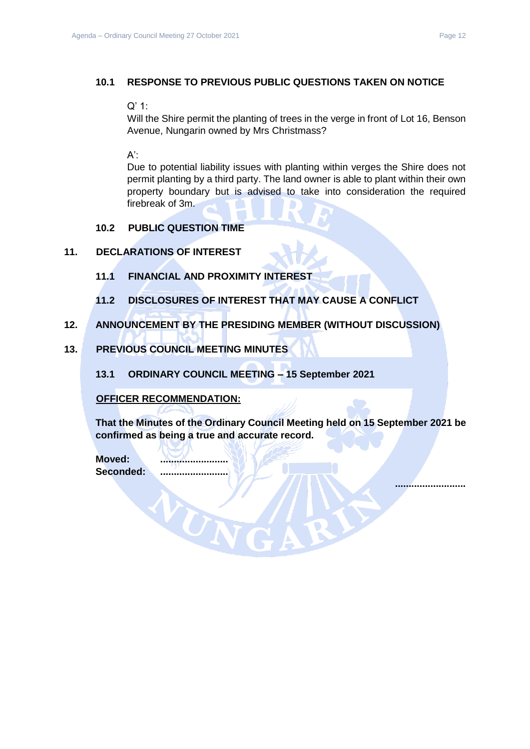### <span id="page-11-0"></span>**10.1 RESPONSE TO PREVIOUS PUBLIC QUESTIONS TAKEN ON NOTICE**

### Q' 1:

Will the Shire permit the planting of trees in the verge in front of Lot 16, Benson Avenue, Nungarin owned by Mrs Christmass?

 $A^{\prime}$ :

Due to potential liability issues with planting within verges the Shire does not permit planting by a third party. The land owner is able to plant within their own property boundary but is advised to take into consideration the required firebreak of 3m.

### **10.2 PUBLIC QUESTION TIME**

### <span id="page-11-3"></span><span id="page-11-2"></span><span id="page-11-1"></span>**11. DECLARATIONS OF INTEREST**

- **11.1 FINANCIAL AND PROXIMITY INTEREST**
- **11.2 DISCLOSURES OF INTEREST THAT MAY CAUSE A CONFLICT**
- <span id="page-11-5"></span><span id="page-11-4"></span>**12. ANNOUNCEMENT BY THE PRESIDING MEMBER (WITHOUT DISCUSSION)**

### <span id="page-11-7"></span><span id="page-11-6"></span>**13. PREVIOUS COUNCIL MEETING MINUTES**

**13.1 ORDINARY COUNCIL MEETING – 15 September 2021**

#### **OFFICER RECOMMENDATION:**

**That the Minutes of the Ordinary Council Meeting held on 15 September 2021 be confirmed as being a true and accurate record.**

**Moved: .........................** Seconded:

WUN

**..........................**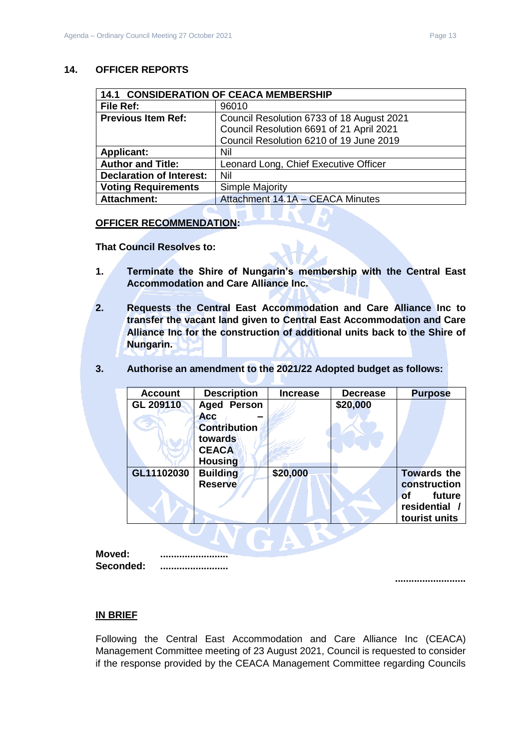### <span id="page-12-0"></span>**14. OFFICER REPORTS**

<span id="page-12-1"></span>

| <b>14.1 CONSIDERATION OF CEACA MEMBERSHIP</b> |                                           |
|-----------------------------------------------|-------------------------------------------|
| File Ref:                                     | 96010                                     |
| <b>Previous Item Ref:</b>                     | Council Resolution 6733 of 18 August 2021 |
|                                               | Council Resolution 6691 of 21 April 2021  |
|                                               | Council Resolution 6210 of 19 June 2019   |
| <b>Applicant:</b>                             | Nil                                       |
| <b>Author and Title:</b>                      | Leonard Long, Chief Executive Officer     |
| <b>Declaration of Interest:</b>               | Nil                                       |
| <b>Voting Requirements</b>                    | Simple Majority                           |
| <b>Attachment:</b>                            | Attachment 14.1A - CEACA Minutes          |

#### **OFFICER RECOMMENDATION:**

**That Council Resolves to:**

- **1. Terminate the Shire of Nungarin's membership with the Central East Accommodation and Care Alliance Inc.**
- **2. Requests the Central East Accommodation and Care Alliance Inc to transfer the vacant land given to Central East Accommodation and Care Alliance Inc for the construction of additional units back to the Shire of Nungarin.**
- **3. Authorise an amendment to the 2021/22 Adopted budget as follows:**

| <b>Account</b> | <b>Description</b>                                           | <b>Increase</b> | <b>Decrease</b> | <b>Purpose</b>                                                                            |  |
|----------------|--------------------------------------------------------------|-----------------|-----------------|-------------------------------------------------------------------------------------------|--|
| GL 209110      | <b>Aged Person</b>                                           |                 | \$20,000        |                                                                                           |  |
|                | <b>Acc</b><br><b>Contribution</b><br>towards<br><b>CEACA</b> |                 |                 |                                                                                           |  |
|                | <b>Housing</b>                                               |                 |                 |                                                                                           |  |
| GL11102030     | <b>Building</b><br><b>Reserve</b>                            | \$20,000        |                 | <b>Towards the</b><br>construction<br>future<br><b>of</b><br>residential<br>tourist units |  |
|                |                                                              |                 |                 |                                                                                           |  |

**Moved: ......................... Seconded: .........................**

**..........................**

### **IN BRIEF**

Following the Central East Accommodation and Care Alliance Inc (CEACA) Management Committee meeting of 23 August 2021, Council is requested to consider if the response provided by the CEACA Management Committee regarding Councils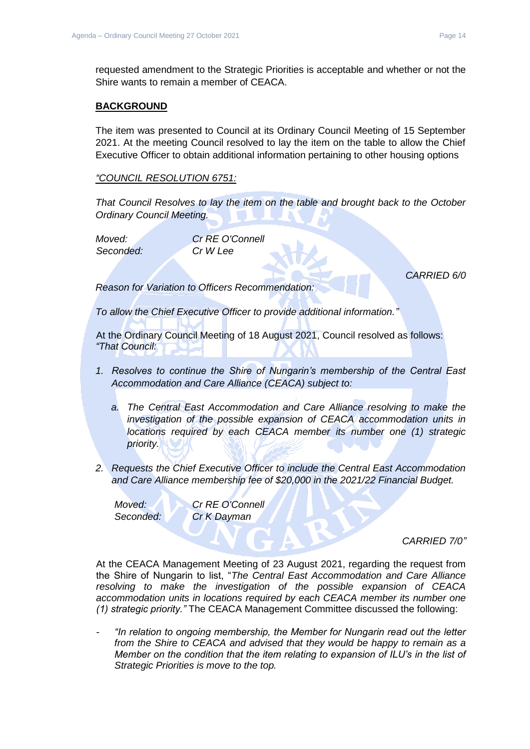requested amendment to the Strategic Priorities is acceptable and whether or not the Shire wants to remain a member of CEACA.

### **BACKGROUND**

The item was presented to Council at its Ordinary Council Meeting of 15 September 2021. At the meeting Council resolved to lay the item on the table to allow the Chief Executive Officer to obtain additional information pertaining to other housing options

### *"COUNCIL RESOLUTION 6751:*

*That Council Resolves to lay the item on the table and brought back to the October Ordinary Council Meeting.*

*Moved: Cr RE O'Connell Seconded: Cr W Lee*

*CARRIED 6/0*

*Reason for Variation to Officers Recommendation:*

*To allow the Chief Executive Officer to provide additional information."*

At the Ordinary Council Meeting of 18 August 2021, Council resolved as follows: *"That Council:*

- *1. Resolves to continue the Shire of Nungarin's membership of the Central East Accommodation and Care Alliance (CEACA) subject to:*
	- *a. The Central East Accommodation and Care Alliance resolving to make the investigation of the possible expansion of CEACA accommodation units in locations required by each CEACA member its number one (1) strategic priority.*
- *2. Requests the Chief Executive Officer to include the Central East Accommodation and Care Alliance membership fee of \$20,000 in the 2021/22 Financial Budget.*

*Moved: Cr RE O'Connell Seconded: Cr K Dayman*

*CARRIED 7/0"*

At the CEACA Management Meeting of 23 August 2021, regarding the request from the Shire of Nungarin to list, "*The Central East Accommodation and Care Alliance resolving to make the investigation of the possible expansion of CEACA accommodation units in locations required by each CEACA member its number one (1) strategic priority."* The CEACA Management Committee discussed the following:

*- "In relation to ongoing membership, the Member for Nungarin read out the letter from the Shire to CEACA and advised that they would be happy to remain as a Member on the condition that the item relating to expansion of ILU's in the list of Strategic Priorities is move to the top.*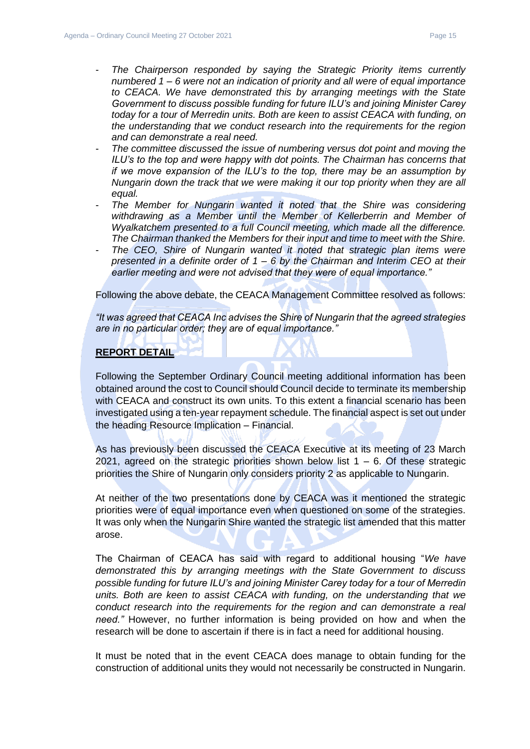- *The Chairperson responded by saying the Strategic Priority items currently numbered 1 – 6 were not an indication of priority and all were of equal importance to CEACA. We have demonstrated this by arranging meetings with the State Government to discuss possible funding for future ILU's and joining Minister Carey today for a tour of Merredin units. Both are keen to assist CEACA with funding, on the understanding that we conduct research into the requirements for the region and can demonstrate a real need.*
- *The committee discussed the issue of numbering versus dot point and moving the ILU's to the top and were happy with dot points. The Chairman has concerns that if we move expansion of the ILU's to the top, there may be an assumption by Nungarin down the track that we were making it our top priority when they are all equal.*
- *The Member for Nungarin wanted it noted that the Shire was considering withdrawing as a Member until the Member of Kellerberrin and Member of Wyalkatchem presented to a full Council meeting, which made all the difference. The Chairman thanked the Members for their input and time to meet with the Shire.*
- The CEO, Shire of Nungarin wanted it noted that strategic plan items were *presented in a definite order of 1 – 6 by the Chairman and Interim CEO at their earlier meeting and were not advised that they were of equal importance."*

Following the above debate, the CEACA Management Committee resolved as follows:

*"It was agreed that CEACA Inc advises the Shire of Nungarin that the agreed strategies are in no particular order; they are of equal importance."*

### **REPORT DETAIL**

Following the September Ordinary Council meeting additional information has been obtained around the cost to Council should Council decide to terminate its membership with CEACA and construct its own units. To this extent a financial scenario has been investigated using a ten-year repayment schedule. The financial aspect is set out under the heading Resource Implication – Financial.

As has previously been discussed the CEACA Executive at its meeting of 23 March 2021, agreed on the strategic priorities shown below list  $1 - 6$ . Of these strategic priorities the Shire of Nungarin only considers priority 2 as applicable to Nungarin.

At neither of the two presentations done by CEACA was it mentioned the strategic priorities were of equal importance even when questioned on some of the strategies. It was only when the Nungarin Shire wanted the strategic list amended that this matter arose.

The Chairman of CEACA has said with regard to additional housing "*We have demonstrated this by arranging meetings with the State Government to discuss possible funding for future ILU's and joining Minister Carey today for a tour of Merredin units. Both are keen to assist CEACA with funding, on the understanding that we conduct research into the requirements for the region and can demonstrate a real need."* However, no further information is being provided on how and when the research will be done to ascertain if there is in fact a need for additional housing.

It must be noted that in the event CEACA does manage to obtain funding for the construction of additional units they would not necessarily be constructed in Nungarin.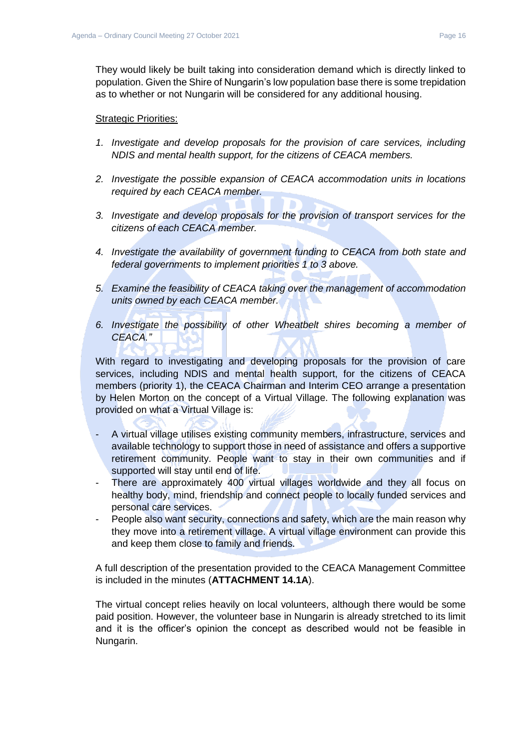They would likely be built taking into consideration demand which is directly linked to population. Given the Shire of Nungarin's low population base there is some trepidation as to whether or not Nungarin will be considered for any additional housing.

#### Strategic Priorities:

- *1. Investigate and develop proposals for the provision of care services, including NDIS and mental health support, for the citizens of CEACA members.*
- *2. Investigate the possible expansion of CEACA accommodation units in locations required by each CEACA member.*
- *3. Investigate and develop proposals for the provision of transport services for the citizens of each CEACA member.*
- *4. Investigate the availability of government funding to CEACA from both state and federal governments to implement priorities 1 to 3 above.*
- *5. Examine the feasibility of CEACA taking over the management of accommodation units owned by each CEACA member.*
- *6. Investigate the possibility of other Wheatbelt shires becoming a member of CEACA."*

With regard to investigating and developing proposals for the provision of care services, including NDIS and mental health support, for the citizens of CEACA members (priority 1), the CEACA Chairman and Interim CEO arrange a presentation by Helen Morton on the concept of a Virtual Village. The following explanation was provided on what a Virtual Village is:

- A virtual village utilises existing community members, infrastructure, services and available technology to support those in need of assistance and offers a supportive retirement community. People want to stay in their own communities and if supported will stay until end of life.
- There are approximately 400 virtual villages worldwide and they all focus on healthy body, mind, friendship and connect people to locally funded services and personal care services.
- People also want security, connections and safety, which are the main reason why they move into a retirement village. A virtual village environment can provide this and keep them close to family and friends.

A full description of the presentation provided to the CEACA Management Committee is included in the minutes (**ATTACHMENT 14.1A**).

The virtual concept relies heavily on local volunteers, although there would be some paid position. However, the volunteer base in Nungarin is already stretched to its limit and it is the officer's opinion the concept as described would not be feasible in Nungarin.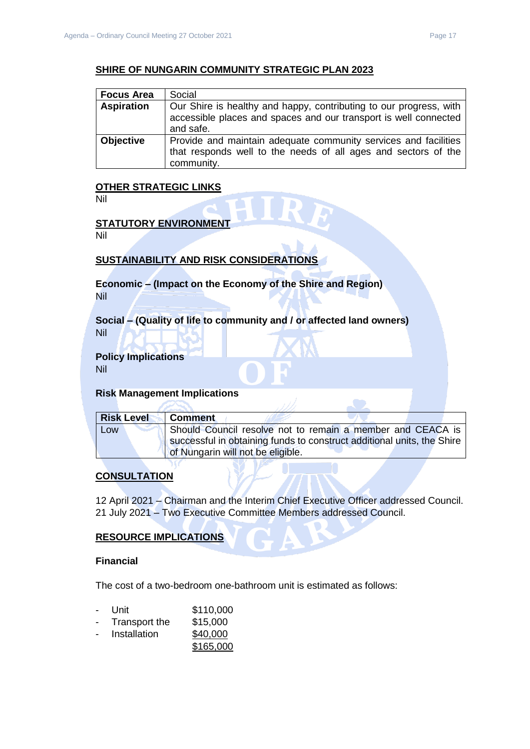### **SHIRE OF NUNGARIN COMMUNITY STRATEGIC PLAN 2023**

| <b>Focus Area</b> | Social                                                                                                                                              |
|-------------------|-----------------------------------------------------------------------------------------------------------------------------------------------------|
| <b>Aspiration</b> | Our Shire is healthy and happy, contributing to our progress, with<br>accessible places and spaces and our transport is well connected<br>and safe. |
| <b>Objective</b>  | Provide and maintain adequate community services and facilities<br>that responds well to the needs of all ages and sectors of the<br>community.     |

#### **OTHER STRATEGIC LINKS**

Nil

#### **STATUTORY ENVIRONMENT**

Nil

### **SUSTAINABILITY AND RISK CONSIDERATIONS**

**Economic – (Impact on the Economy of the Shire and Region)** Nil

**Social – (Quality of life to community and / or affected land owners)** Nil

#### **Policy Implications**

Nil

#### **Risk Management Implications**

| <b>Risk Level</b> | <b>Comment</b>                                                         |
|-------------------|------------------------------------------------------------------------|
| Low               | Should Council resolve not to remain a member and CEACA is             |
|                   | successful in obtaining funds to construct additional units, the Shire |
|                   | of Nungarin will not be eligible.                                      |

**STO** 

### **CONSULTATION**

12 April 2021 – Chairman and the Interim Chief Executive Officer addressed Council. 21 July 2021 – Two Executive Committee Members addressed Council.

#### **RESOURCE IMPLICATIONS**

#### **Financial**

The cost of a two-bedroom one-bathroom unit is estimated as follows:

- Unit \$110,000
- Transport the \$15,000
- Installation \$40,000
	- \$165,000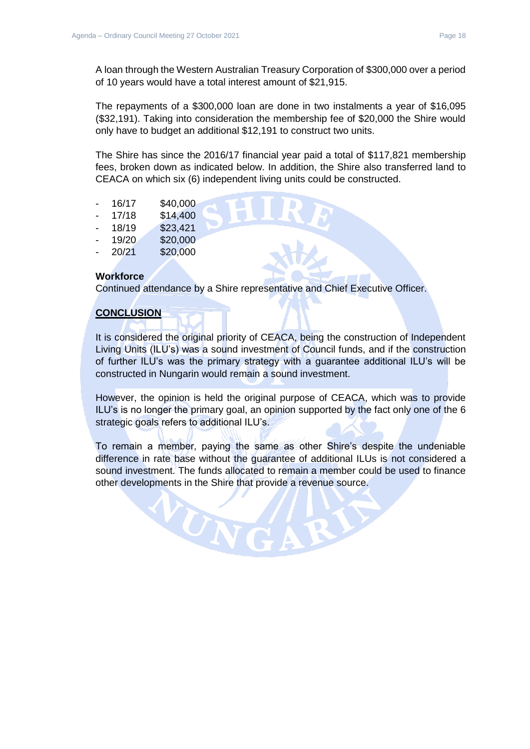A loan through the Western Australian Treasury Corporation of \$300,000 over a period of 10 years would have a total interest amount of \$21,915.

The repayments of a \$300,000 loan are done in two instalments a year of \$16,095 (\$32,191). Taking into consideration the membership fee of \$20,000 the Shire would only have to budget an additional \$12,191 to construct two units.

The Shire has since the 2016/17 financial year paid a total of \$117,821 membership fees, broken down as indicated below. In addition, the Shire also transferred land to CEACA on which six (6) independent living units could be constructed.

- 16/17 \$40,000
- 17/18 \$14,400
- 18/19 \$23,421
- 19/20 \$20,000
- 20/21 \$20,000

### **Workforce**

Continued attendance by a Shire representative and Chief Executive Officer.

### **CONCLUSION**

It is considered the original priority of CEACA, being the construction of Independent Living Units (ILU's) was a sound investment of Council funds, and if the construction of further ILU's was the primary strategy with a guarantee additional ILU's will be constructed in Nungarin would remain a sound investment.

However, the opinion is held the original purpose of CEACA, which was to provide ILU's is no longer the primary goal, an opinion supported by the fact only one of the 6 strategic goals refers to additional ILU's.

To remain a member, paying the same as other Shire's despite the undeniable difference in rate base without the guarantee of additional ILUs is not considered a sound investment. The funds allocated to remain a member could be used to finance other developments in the Shire that provide a revenue source.

WN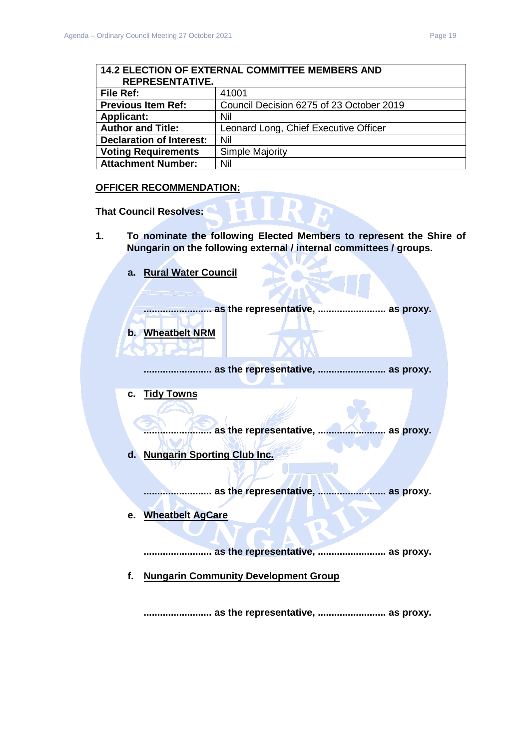<span id="page-18-1"></span><span id="page-18-0"></span>

| <b>14.2 ELECTION OF EXTERNAL COMMITTEE MEMBERS AND</b> |                                          |  |
|--------------------------------------------------------|------------------------------------------|--|
| <b>REPRESENTATIVE.</b>                                 |                                          |  |
| File Ref:                                              | 41001                                    |  |
| <b>Previous Item Ref:</b>                              | Council Decision 6275 of 23 October 2019 |  |
| <b>Applicant:</b>                                      | Nil                                      |  |
| <b>Author and Title:</b>                               | Leonard Long, Chief Executive Officer    |  |
| <b>Declaration of Interest:</b>                        | Nil                                      |  |
| <b>Voting Requirements</b>                             | Simple Majority                          |  |
| <b>Attachment Number:</b>                              | Nil                                      |  |

#### **OFFICER RECOMMENDATION:**

**That Council Resolves:**

- **1. To nominate the following Elected Members to represent the Shire of Nungarin on the following external / internal committees / groups.**
	- **a. Rural Water Council**

**......................... as the representative, ......................... as proxy.**

**b. Wheatbelt NRM**

**......................... as the representative, ......................... as proxy.**

**c. Tidy Towns**

**......................... as the representative, ......................... as proxy.**

**d. Nungarin Sporting Club Inc.**

**......................... as the representative, ......................... as proxy.**

**e. Wheatbelt AgCare**

**......................... as the representative, ......................... as proxy.**

**f. Nungarin Community Development Group**

**......................... as the representative, ......................... as proxy.**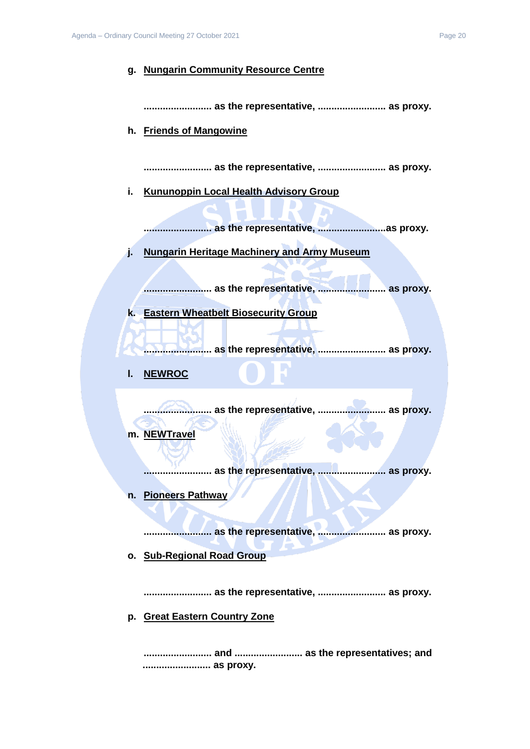#### **g. Nungarin Community Resource Centre**

**......................... as the representative, ......................... as proxy.**

**h. Friends of Mangowine**

**......................... as the representative, ......................... as proxy.**

**i. Kununoppin Local Health Advisory Group**

**......................... as the representative, .........................as proxy.**

**j. Nungarin Heritage Machinery and Army Museum**

**......................... as the representative, ......................... as proxy.**

**k. Eastern Wheatbelt Biosecurity Group**

**......................... as the representative, ......................... as proxy.**

**l. NEWROC**

**......................... as the representative, ......................... as proxy. m. NEWTravel**

**......................... as the representative, ......................... as proxy.**

**n. Pioneers Pathway**

**......................... as the representative, ......................... as proxy.**

**o. Sub-Regional Road Group**

**......................... as the representative, ......................... as proxy.**

**p. Great Eastern Country Zone**

**......................... and ......................... as the representatives; and ......................... as proxy.**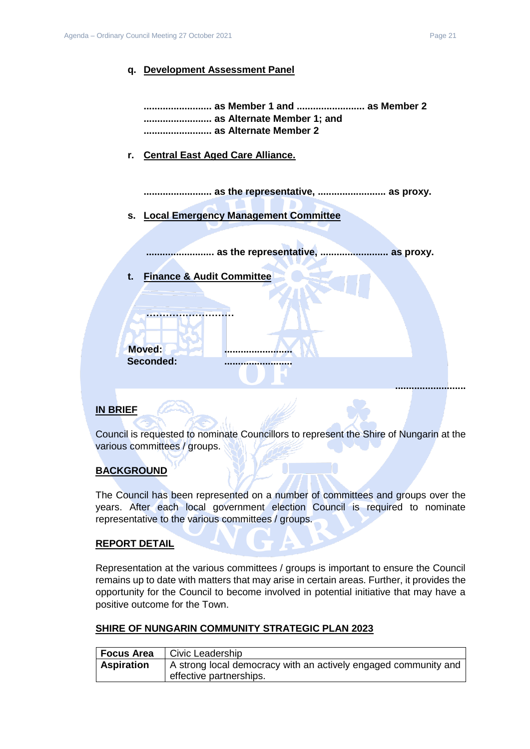### **q. Development Assessment Panel**

**......................... as Member 1 and ......................... as Member 2 ......................... as Alternate Member 1; and ......................... as Alternate Member 2**

### **r. Central East Aged Care Alliance.**

**......................... as the representative, ......................... as proxy.**

**s. Local Emergency Management Committee**

**......................... as the representative, ......................... as proxy.**

**t. Finance & Audit Committee**

**………………………**

**Moved: Seconded: .........................**

### **IN BRIEF**

Council is requested to nominate Councillors to represent the Shire of Nungarin at the various committees / groups.

### **BACKGROUND**

The Council has been represented on a number of committees and groups over the years. After each local government election Council is required to nominate representative to the various committees / groups.

### **REPORT DETAIL**

Representation at the various committees / groups is important to ensure the Council remains up to date with matters that may arise in certain areas. Further, it provides the opportunity for the Council to become involved in potential initiative that may have a positive outcome for the Town.

### **SHIRE OF NUNGARIN COMMUNITY STRATEGIC PLAN 2023**

| Focus Area        | Civic Leadership                                                |
|-------------------|-----------------------------------------------------------------|
| <b>Aspiration</b> | A strong local democracy with an actively engaged community and |
|                   | effective partnerships.                                         |

**..........................**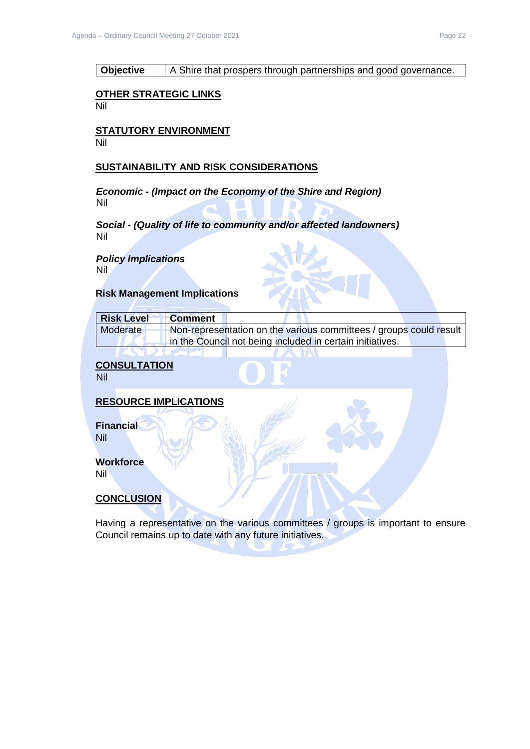### **Objective** | A Shire that prospers through partnerships and good governance.

#### **OTHER STRATEGIC LINKS**

Nil

#### **STATUTORY ENVIRONMENT** Nil

#### **SUSTAINABILITY AND RISK CONSIDERATIONS**

*Economic - (Impact on the Economy of the Shire and Region)* Nil

*Social - (Quality of life to community and/or affected landowners)* Nil

*Policy Implications* Nil

#### **Risk Management Implications**

| <b>Risk Level</b> | <b>Comment</b>                                                     |  |
|-------------------|--------------------------------------------------------------------|--|
| Moderate          | Non-representation on the various committees / groups could result |  |
|                   | in the Council not being included in certain initiatives.          |  |

**CONSULTATION**

 $\sim$   $\sim$ 

Nil

### **RESOURCE IMPLICATIONS**

**Financial** Nil

#### **Workforce** Nil

### **CONCLUSION**

Having a representative on the various committees / groups is important to ensure Council remains up to date with any future initiatives.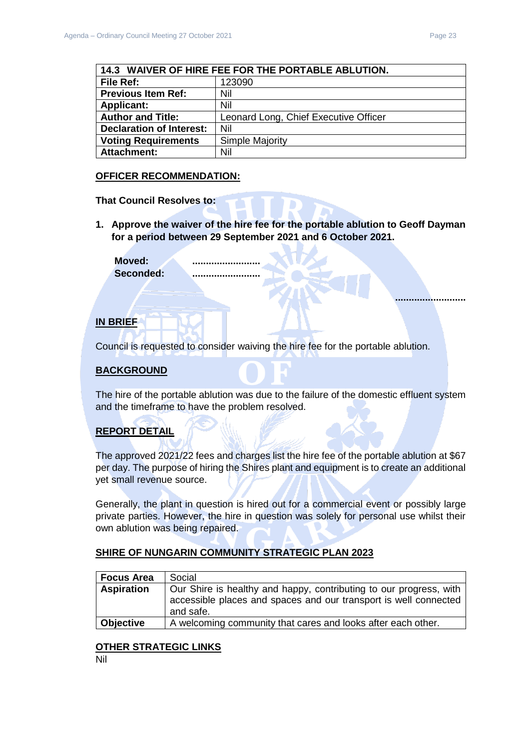**..........................**

<span id="page-22-0"></span>

| 14.3 WAIVER OF HIRE FEE FOR THE PORTABLE ABLUTION. |                                       |
|----------------------------------------------------|---------------------------------------|
| <b>File Ref:</b>                                   | 123090                                |
| <b>Previous Item Ref:</b>                          | Nil                                   |
| <b>Applicant:</b>                                  | Nil                                   |
| <b>Author and Title:</b>                           | Leonard Long, Chief Executive Officer |
| <b>Declaration of Interest:</b>                    | Nil                                   |
| <b>Voting Requirements</b>                         | <b>Simple Majority</b>                |
| <b>Attachment:</b>                                 | Nil                                   |

### **OFFICER RECOMMENDATION:**

**That Council Resolves to:**

**1. Approve the waiver of the hire fee for the portable ablution to Geoff Dayman for a period between 29 September 2021 and 6 October 2021.**

Moved: **Seconded: .........................**

### **IN BRIEF**

Council is requested to consider waiving the hire fee for the portable ablution.

### **BACKGROUND**

The hire of the portable ablution was due to the failure of the domestic effluent system and the timeframe to have the problem resolved.

### **REPORT DETAIL**

The approved 2021/22 fees and charges list the hire fee of the portable ablution at \$67 per day. The purpose of hiring the Shires plant and equipment is to create an additional yet small revenue source.

Generally, the plant in question is hired out for a commercial event or possibly large private parties. However, the hire in question was solely for personal use whilst their own ablution was being repaired.

### **SHIRE OF NUNGARIN COMMUNITY STRATEGIC PLAN 2023**

| <b>Focus Area</b> | Social                                                                                                                                              |
|-------------------|-----------------------------------------------------------------------------------------------------------------------------------------------------|
| <b>Aspiration</b> | Our Shire is healthy and happy, contributing to our progress, with<br>accessible places and spaces and our transport is well connected<br>and safe. |
| <b>Objective</b>  | A welcoming community that cares and looks after each other.                                                                                        |

### **OTHER STRATEGIC LINKS**

Nil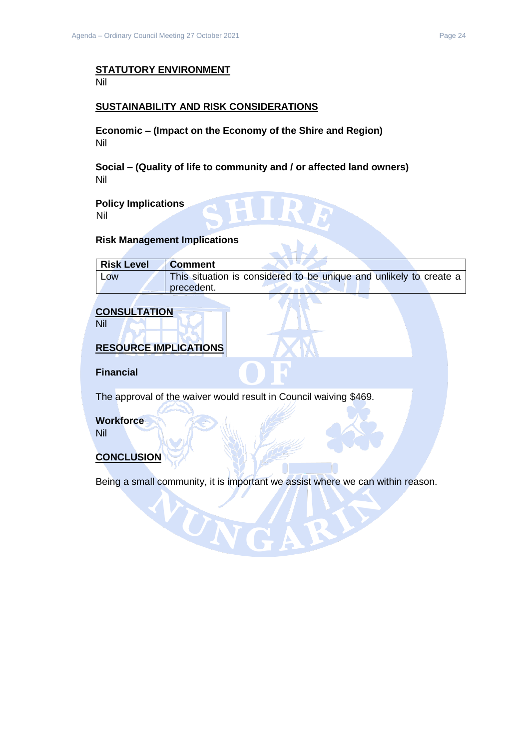# **STATUTORY ENVIRONMENT**

Nil

### **SUSTAINABILITY AND RISK CONSIDERATIONS**

**Economic – (Impact on the Economy of the Shire and Region)** Nil

**Social – (Quality of life to community and / or affected land owners)** Nil

**Policy Implications** Nil

#### **Risk Management Implications**

| <b>Risk Level</b> | <b>Comment</b>                                                     |
|-------------------|--------------------------------------------------------------------|
| Low               | This situation is considered to be unique and unlikely to create a |
|                   | precedent.                                                         |

### **CONSULTATION**

Nil

### **RESOURCE IMPLICATIONS**

**Financial**

The approval of the waiver would result in Council waiving \$469.

WN

**Workforce**

Nil

### **CONCLUSION**

Being a small community, it is important we assist where we can within reason.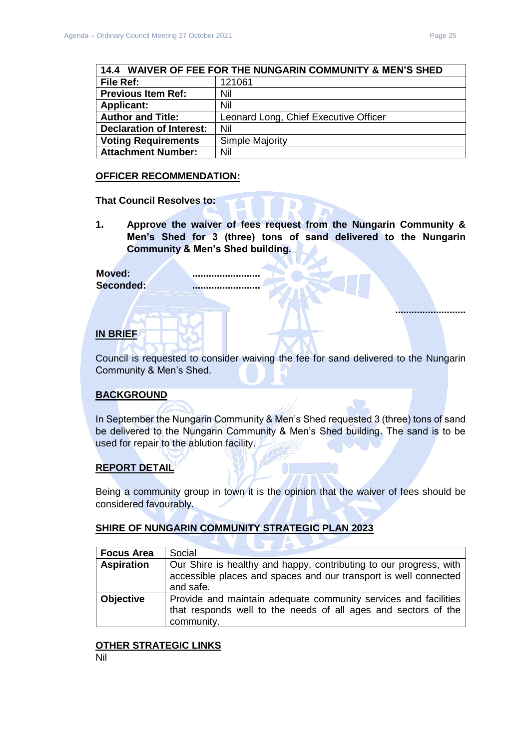**..........................**

<span id="page-24-0"></span>

| 14.4 WAIVER OF FEE FOR THE NUNGARIN COMMUNITY & MEN'S SHED |                                       |
|------------------------------------------------------------|---------------------------------------|
| <b>File Ref:</b>                                           | 121061                                |
| <b>Previous Item Ref:</b>                                  | Nil                                   |
| <b>Applicant:</b>                                          | Nil                                   |
| <b>Author and Title:</b>                                   | Leonard Long, Chief Executive Officer |
| <b>Declaration of Interest:</b>                            | Nil                                   |
| <b>Voting Requirements</b>                                 | <b>Simple Majority</b>                |
| <b>Attachment Number:</b>                                  | Nil                                   |

#### **OFFICER RECOMMENDATION:**

**That Council Resolves to:**

**1. Approve the waiver of fees request from the Nungarin Community & Men's Shed for 3 (three) tons of sand delivered to the Nungarin Community & Men's Shed building.**

### Moved:

**Seconded: .........................**

### **IN BRIEF**

Council is requested to consider waiving the fee for sand delivered to the Nungarin Community & Men's Shed.

### **BACKGROUND**

In September the Nungarin Community & Men's Shed requested 3 (three) tons of sand be delivered to the Nungarin Community & Men's Shed building. The sand is to be used for repair to the ablution facility.

### **REPORT DETAIL**

Being a community group in town it is the opinion that the waiver of fees should be considered favourably.

### **SHIRE OF NUNGARIN COMMUNITY STRATEGIC PLAN 2023**

| <b>Focus Area</b> | Social                                                                                                                                              |
|-------------------|-----------------------------------------------------------------------------------------------------------------------------------------------------|
| <b>Aspiration</b> | Our Shire is healthy and happy, contributing to our progress, with<br>accessible places and spaces and our transport is well connected<br>and safe. |
| <b>Objective</b>  | Provide and maintain adequate community services and facilities<br>that responds well to the needs of all ages and sectors of the<br>community.     |

#### **OTHER STRATEGIC LINKS**

Nil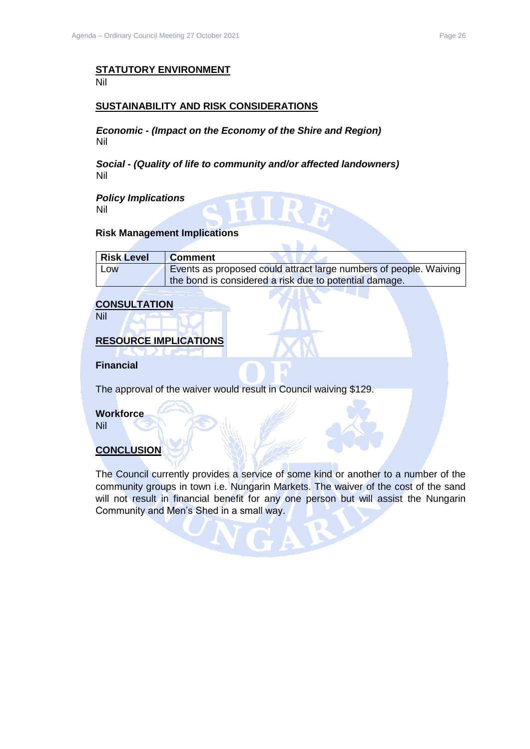# **STATUTORY ENVIRONMENT**

Nil

### **SUSTAINABILITY AND RISK CONSIDERATIONS**

*Economic - (Impact on the Economy of the Shire and Region)* Nil

*Social - (Quality of life to community and/or affected landowners)* Nil

*Policy Implications* Nil

#### **Risk Management Implications**

| <b>Risk Level</b> | <b>Comment</b>                                                    |
|-------------------|-------------------------------------------------------------------|
| Low               | Events as proposed could attract large numbers of people. Waiving |
|                   | the bond is considered a risk due to potential damage.            |

### **CONSULTATION**

Nil

### **RESOURCE IMPLICATIONS**

**Financial**

The approval of the waiver would result in Council waiving \$129.

### **Workforce**

Nil

### **CONCLUSION**

The Council currently provides a service of some kind or another to a number of the community groups in town i.e. Nungarin Markets. The waiver of the cost of the sand will not result in financial benefit for any one person but will assist the Nungarin Community and Men's Shed in a small way.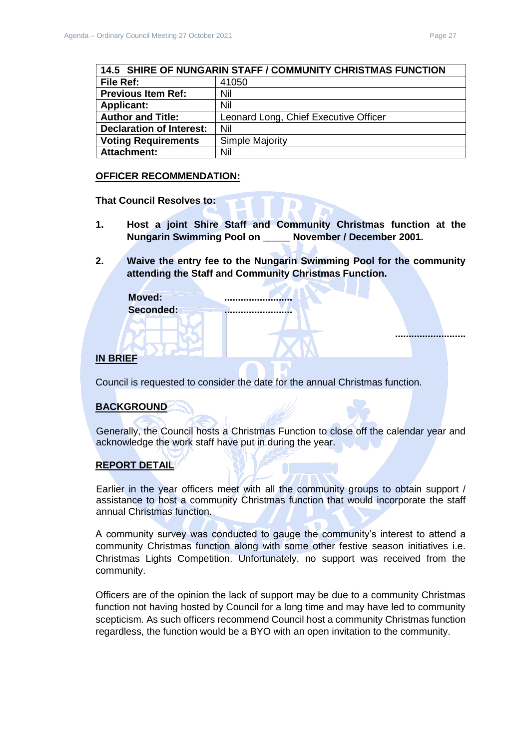**..........................**

<span id="page-26-0"></span>

| <b>14.5 SHIRE OF NUNGARIN STAFF / COMMUNITY CHRISTMAS FUNCTION</b> |                                       |
|--------------------------------------------------------------------|---------------------------------------|
| File Ref:                                                          | 41050                                 |
| <b>Previous Item Ref:</b>                                          | Nil                                   |
| <b>Applicant:</b>                                                  | Nil                                   |
| <b>Author and Title:</b>                                           | Leonard Long, Chief Executive Officer |
| <b>Declaration of Interest:</b>                                    | Nil                                   |
| <b>Voting Requirements</b>                                         | <b>Simple Majority</b>                |
| <b>Attachment:</b>                                                 | Nil                                   |

#### **OFFICER RECOMMENDATION:**

**That Council Resolves to:**

- **1. Host a joint Shire Staff and Community Christmas function at the Nungarin Swimming Pool on \_\_\_\_\_ November / December 2001.**
- **2. Waive the entry fee to the Nungarin Swimming Pool for the community attending the Staff and Community Christmas Function.**

**Moved: ......................... Seconded: .........................**

### **IN BRIEF**

Council is requested to consider the date for the annual Christmas function.

### **BACKGROUND**

Generally, the Council hosts a Christmas Function to close off the calendar year and acknowledge the work staff have put in during the year.

#### **REPORT DETAIL**

Earlier in the year officers meet with all the community groups to obtain support / assistance to host a community Christmas function that would incorporate the staff annual Christmas function.

A community survey was conducted to gauge the community's interest to attend a community Christmas function along with some other festive season initiatives i.e. Christmas Lights Competition. Unfortunately, no support was received from the community.

Officers are of the opinion the lack of support may be due to a community Christmas function not having hosted by Council for a long time and may have led to community scepticism. As such officers recommend Council host a community Christmas function regardless, the function would be a BYO with an open invitation to the community.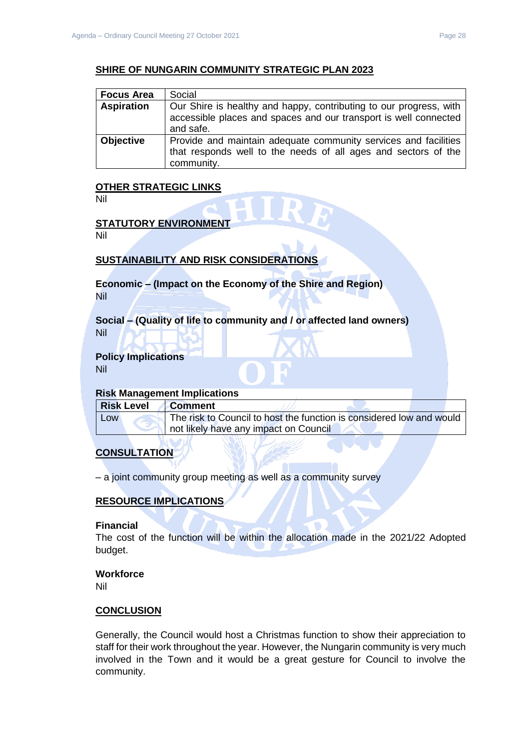### **SHIRE OF NUNGARIN COMMUNITY STRATEGIC PLAN 2023**

| <b>Focus Area</b> | Social                                                                                                                                              |
|-------------------|-----------------------------------------------------------------------------------------------------------------------------------------------------|
| <b>Aspiration</b> | Our Shire is healthy and happy, contributing to our progress, with<br>accessible places and spaces and our transport is well connected<br>and safe. |
| <b>Objective</b>  | Provide and maintain adequate community services and facilities<br>that responds well to the needs of all ages and sectors of the<br>community.     |

### **OTHER STRATEGIC LINKS**

Nil

### **STATUTORY ENVIRONMENT**

Nil

### **SUSTAINABILITY AND RISK CONSIDERATIONS**

**Economic – (Impact on the Economy of the Shire and Region)** Nil

**Social – (Quality of life to community and / or affected land owners)** Nil

### **Policy Implications**

Nil

### **Risk Management Implications**

| <b>Risk Level</b> | <b>Comment</b>                                                       |
|-------------------|----------------------------------------------------------------------|
| Low               | The risk to Council to host the function is considered low and would |
|                   | I not likely have any impact on Council                              |

### **CONSULTATION**

– a joint community group meeting as well as a community survey

### **RESOURCE IMPLICATIONS**

#### **Financial**

The cost of the function will be within the allocation made in the 2021/22 Adopted budget.

### **Workforce**

Nil

### **CONCLUSION**

Generally, the Council would host a Christmas function to show their appreciation to staff for their work throughout the year. However, the Nungarin community is very much involved in the Town and it would be a great gesture for Council to involve the community.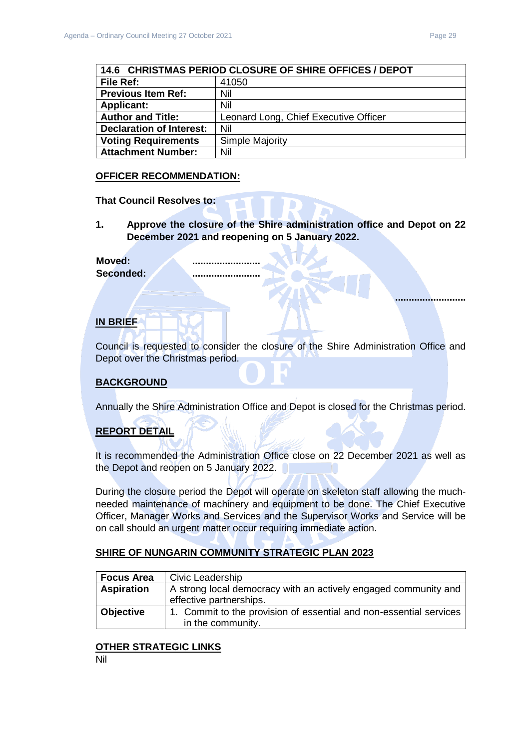**..........................**

<span id="page-28-0"></span>

| 14.6 CHRISTMAS PERIOD CLOSURE OF SHIRE OFFICES / DEPOT |                                       |
|--------------------------------------------------------|---------------------------------------|
| File Ref:                                              | 41050                                 |
| <b>Previous Item Ref:</b>                              | Nil                                   |
| <b>Applicant:</b>                                      | Nil                                   |
| <b>Author and Title:</b>                               | Leonard Long, Chief Executive Officer |
| <b>Declaration of Interest:</b>                        | Nil                                   |
| <b>Voting Requirements</b>                             | Simple Majority                       |
| <b>Attachment Number:</b>                              | Nil                                   |

### **OFFICER RECOMMENDATION:**

**That Council Resolves to:**

**1. Approve the closure of the Shire administration office and Depot on 22 December 2021 and reopening on 5 January 2022.**

**Moved: ......................... Seconded: .........................**

### **IN BRIEF**

Council is requested to consider the closure of the Shire Administration Office and Depot over the Christmas period.

### **BACKGROUND**

Annually the Shire Administration Office and Depot is closed for the Christmas period.

### **REPORT DETAIL**

It is recommended the Administration Office close on 22 December 2021 as well as the Depot and reopen on 5 January 2022.

During the closure period the Depot will operate on skeleton staff allowing the muchneeded maintenance of machinery and equipment to be done. The Chief Executive Officer, Manager Works and Services and the Supervisor Works and Service will be on call should an urgent matter occur requiring immediate action.

### **SHIRE OF NUNGARIN COMMUNITY STRATEGIC PLAN 2023**

| <b>Focus Area</b> | Civic Leadership                                                   |
|-------------------|--------------------------------------------------------------------|
| <b>Aspiration</b> | A strong local democracy with an actively engaged community and    |
|                   | effective partnerships.                                            |
| <b>Objective</b>  | 1. Commit to the provision of essential and non-essential services |
|                   | in the community.                                                  |

### **OTHER STRATEGIC LINKS**

Nil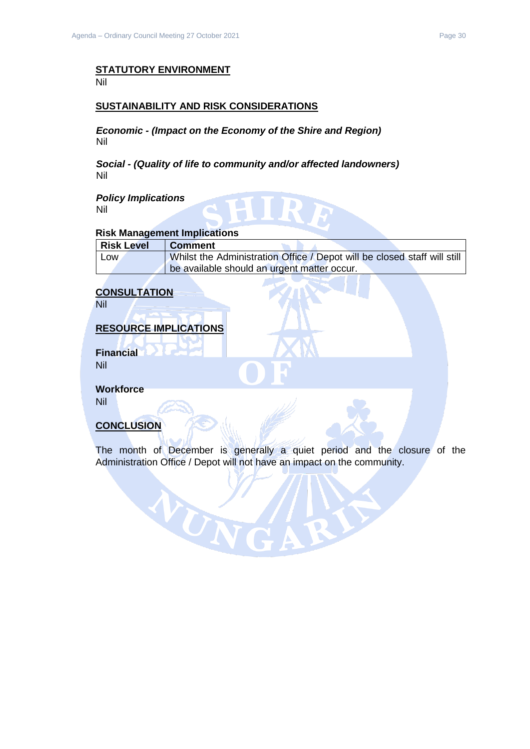#### **STATUTORY ENVIRONMENT** Nil

#### **SUSTAINABILITY AND RISK CONSIDERATIONS**

*Economic - (Impact on the Economy of the Shire and Region)* Nil

*Social - (Quality of life to community and/or affected landowners)* Nil

*Policy Implications* Nil

### **Risk Management Implications**

| Risk Level | <b>Comment</b>                                                           |
|------------|--------------------------------------------------------------------------|
| Low        | Whilst the Administration Office / Depot will be closed staff will still |
|            | be available should an urgent matter occur.                              |

### **CONSULTATION**

Nil

### **RESOURCE IMPLICATIONS**

WUN

**Financial** Nil

**Workforce**

Nil

### **CONCLUSION**

The month of December is generally a quiet period and the closure of the Administration Office / Depot will not have an impact on the community.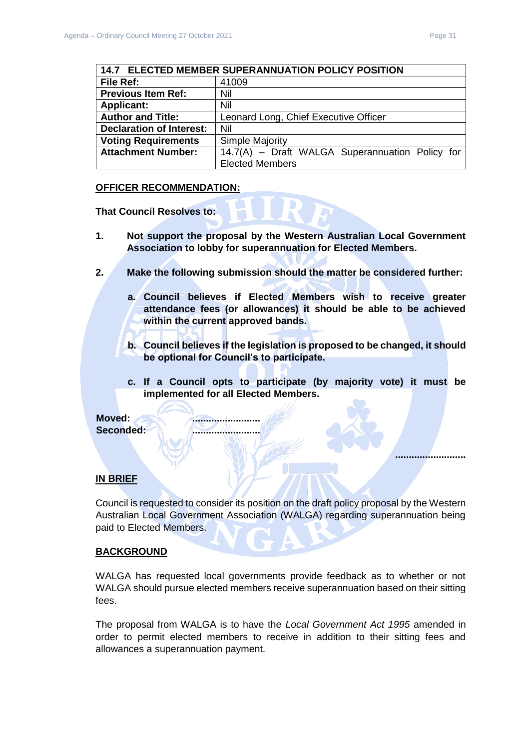**..........................**

<span id="page-30-0"></span>

| 14.7 ELECTED MEMBER SUPERANNUATION POLICY POSITION |                                                 |  |  |
|----------------------------------------------------|-------------------------------------------------|--|--|
| File Ref:                                          | 41009                                           |  |  |
| <b>Previous Item Ref:</b>                          | Nil                                             |  |  |
| <b>Applicant:</b>                                  | Nil                                             |  |  |
| <b>Author and Title:</b>                           | Leonard Long, Chief Executive Officer           |  |  |
| <b>Declaration of Interest:</b>                    | Nil                                             |  |  |
| <b>Voting Requirements</b>                         | <b>Simple Majority</b>                          |  |  |
| <b>Attachment Number:</b>                          | 14.7(A) - Draft WALGA Superannuation Policy for |  |  |
|                                                    | <b>Elected Members</b>                          |  |  |

#### **OFFICER RECOMMENDATION:**

**That Council Resolves to:**

- **1. Not support the proposal by the Western Australian Local Government Association to lobby for superannuation for Elected Members.**
- **2. Make the following submission should the matter be considered further:**
	- **a. Council believes if Elected Members wish to receive greater attendance fees (or allowances) it should be able to be achieved within the current approved bands.**
	- **b. Council believes if the legislation is proposed to be changed, it should be optional for Council's to participate.**
	- **c. If a Council opts to participate (by majority vote) it must be implemented for all Elected Members.**

**Moved: ......................... Seconded: .........................**

#### **IN BRIEF**

Council is requested to consider its position on the draft policy proposal by the Western Australian Local Government Association (WALGA) regarding superannuation being paid to Elected Members.

#### **BACKGROUND**

WALGA has requested local governments provide feedback as to whether or not WALGA should pursue elected members receive superannuation based on their sitting fees.

The proposal from WALGA is to have the *Local Government Act 1995* amended in order to permit elected members to receive in addition to their sitting fees and allowances a superannuation payment.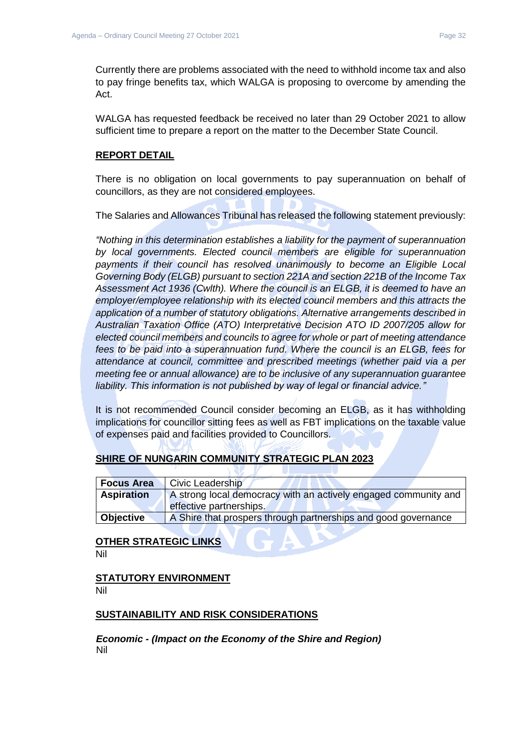Currently there are problems associated with the need to withhold income tax and also to pay fringe benefits tax, which WALGA is proposing to overcome by amending the Act.

WALGA has requested feedback be received no later than 29 October 2021 to allow sufficient time to prepare a report on the matter to the December State Council.

### **REPORT DETAIL**

There is no obligation on local governments to pay superannuation on behalf of councillors, as they are not considered employees.

The Salaries and Allowances Tribunal has released the following statement previously:

*"Nothing in this determination establishes a liability for the payment of superannuation by local governments. Elected council members are eligible for superannuation*  payments if their council has resolved unanimously to become an Eligible Local *Governing Body (ELGB) pursuant to section 221A and section 221B of the Income Tax Assessment Act 1936 (Cwlth). Where the council is an ELGB, it is deemed to have an employer/employee relationship with its elected council members and this attracts the application of a number of statutory obligations. Alternative arrangements described in Australian Taxation Office (ATO) Interpretative Decision ATO ID 2007/205 allow for elected council members and councils to agree for whole or part of meeting attendance fees to be paid into a superannuation fund. Where the council is an ELGB, fees for attendance at council, committee and prescribed meetings (whether paid via a per meeting fee or annual allowance) are to be inclusive of any superannuation guarantee liability. This information is not published by way of legal or financial advice."*

It is not recommended Council consider becoming an ELGB, as it has withholding implications for councillor sitting fees as well as FBT implications on the taxable value of expenses paid and facilities provided to Councillors.

### **SHIRE OF NUNGARIN COMMUNITY STRATEGIC PLAN 2023**

| <b>Focus Area</b> | Civic Leadership                                                |
|-------------------|-----------------------------------------------------------------|
| <b>Aspiration</b> | A strong local democracy with an actively engaged community and |
|                   | effective partnerships.                                         |
| <b>Objective</b>  | A Shire that prospers through partnerships and good governance  |

# **OTHER STRATEGIC LINKS**

Nil

## **STATUTORY ENVIRONMENT**

Nil

### **SUSTAINABILITY AND RISK CONSIDERATIONS**

*Economic - (Impact on the Economy of the Shire and Region)* Nil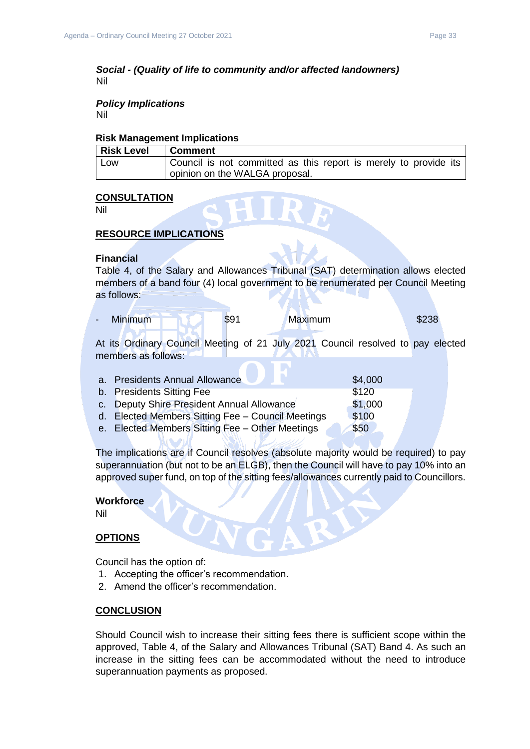#### *Social - (Quality of life to community and/or affected landowners)* Nil

#### *Policy Implications* Nil

#### **Risk Management Implications**

| <b>Risk Level</b> | <b>Comment</b>                                                   |
|-------------------|------------------------------------------------------------------|
| Low               | Council is not committed as this report is merely to provide its |
|                   | opinion on the WALGA proposal.                                   |

### **CONSULTATION**

Nil

### **RESOURCE IMPLICATIONS**

#### **Financial**

Table 4, of the Salary and Allowances Tribunal (SAT) determination allows elected members of a band four (4) local government to be renumerated per Council Meeting as follows:

|  |  | <b>Minimum</b> | \$91 | Maximum | \$238 |
|--|--|----------------|------|---------|-------|
|--|--|----------------|------|---------|-------|

At its Ordinary Council Meeting of 21 July 2021 Council resolved to pay elected members as follows:

| a. Presidents Annual Allowance                    | \$4,000 |
|---------------------------------------------------|---------|
| b. Presidents Sitting Fee                         | \$120   |
| c. Deputy Shire President Annual Allowance        | \$1,000 |
| d. Elected Members Sitting Fee - Council Meetings | \$100   |
| e. Elected Members Sitting Fee - Other Meetings   | \$50    |

The implications are if Council resolves (absolute majority would be required) to pay superannuation (but not to be an ELGB), then the Council will have to pay 10% into an approved super fund, on top of the sitting fees/allowances currently paid to Councillors.

#### **Workforce**

Nil

### **OPTIONS**

Council has the option of:

- 1. Accepting the officer's recommendation.
- 2. Amend the officer's recommendation.

#### **CONCLUSION**

Should Council wish to increase their sitting fees there is sufficient scope within the approved, Table 4, of the Salary and Allowances Tribunal (SAT) Band 4. As such an increase in the sitting fees can be accommodated without the need to introduce superannuation payments as proposed.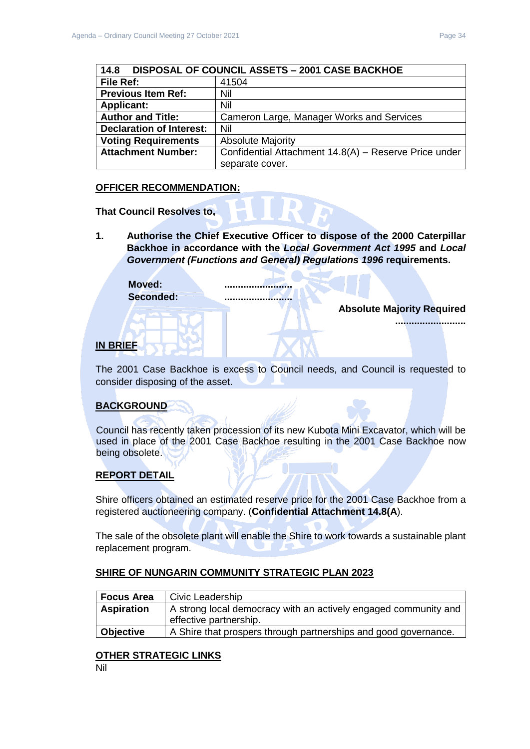<span id="page-33-0"></span>

| DISPOSAL OF COUNCIL ASSETS - 2001 CASE BACKHOE<br>14.8 |                                                       |  |
|--------------------------------------------------------|-------------------------------------------------------|--|
| File Ref:                                              | 41504                                                 |  |
| <b>Previous Item Ref:</b>                              | Nil                                                   |  |
| <b>Applicant:</b>                                      | Nil                                                   |  |
| <b>Author and Title:</b>                               | Cameron Large, Manager Works and Services             |  |
| <b>Declaration of Interest:</b>                        | Nil                                                   |  |
| <b>Voting Requirements</b>                             | <b>Absolute Majority</b>                              |  |
| <b>Attachment Number:</b>                              | Confidential Attachment 14.8(A) - Reserve Price under |  |
|                                                        | separate cover.                                       |  |

### **OFFICER RECOMMENDATION:**

**That Council Resolves to,** 

**1. Authorise the Chief Executive Officer to dispose of the 2000 Caterpillar Backhoe in accordance with the** *Local Government Act 1995* **and** *Local Government (Functions and General) Regulations 1996* **requirements.**

**Moved: ......................... Seconded: .........................**

**Absolute Majority Required**

**..........................**

### **IN BRIEF**

The 2001 Case Backhoe is excess to Council needs, and Council is requested to consider disposing of the asset.

### **BACKGROUND**

Council has recently taken procession of its new Kubota Mini Excavator, which will be used in place of the 2001 Case Backhoe resulting in the 2001 Case Backhoe now being obsolete.

### **REPORT DETAIL**

Shire officers obtained an estimated reserve price for the 2001 Case Backhoe from a registered auctioneering company. (**Confidential Attachment 14.8(A**).

The sale of the obsolete plant will enable the Shire to work towards a sustainable plant replacement program.

### **SHIRE OF NUNGARIN COMMUNITY STRATEGIC PLAN 2023**

| <b>Focus Area</b> | Civic Leadership                                                                          |
|-------------------|-------------------------------------------------------------------------------------------|
| <b>Aspiration</b> | A strong local democracy with an actively engaged community and<br>effective partnership. |
| Objective         | A Shire that prospers through partnerships and good governance.                           |

### **OTHER STRATEGIC LINKS**

Nil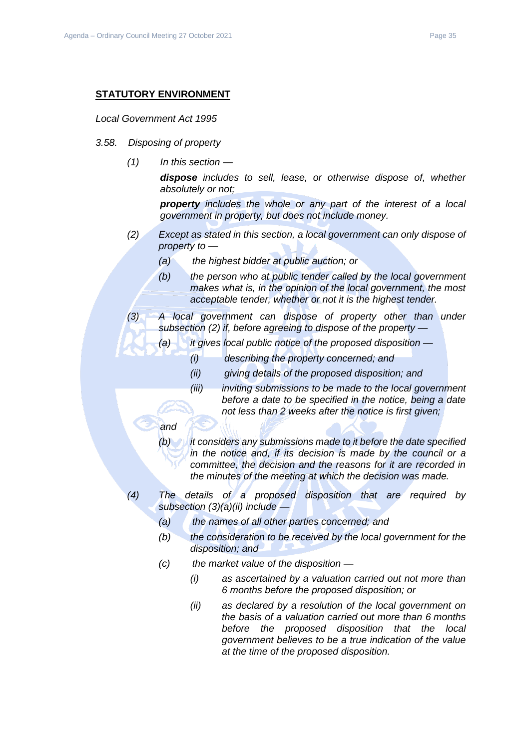#### **STATUTORY ENVIRONMENT**

#### *Local Government Act 1995*

- *3.58. Disposing of property*
	- *(1) In this section —*

*dispose includes to sell, lease, or otherwise dispose of, whether absolutely or not;*

*property includes the whole or any part of the interest of a local government in property, but does not include money.*

- *(2) Except as stated in this section, a local government can only dispose of property to —*
	- *(a) the highest bidder at public auction; or*
	- *(b) the person who at public tender called by the local government makes what is, in the opinion of the local government, the most acceptable tender, whether or not it is the highest tender.*
- *(3) A local government can dispose of property other than under subsection (2) if, before agreeing to dispose of the property —*
	- *(a) it gives local public notice of the proposed disposition —*
		- *(i) describing the property concerned; and*
		- *(ii) giving details of the proposed disposition; and*
		- *(iii) inviting submissions to be made to the local government before a date to be specified in the notice, being a date not less than 2 weeks after the notice is first given;*

### *and*

*(b) it considers any submissions made to it before the date specified in the notice and, if its decision is made by the council or a committee, the decision and the reasons for it are recorded in the minutes of the meeting at which the decision was made.*

- *(4) The details of a proposed disposition that are required by subsection (3)(a)(ii) include —*
	- *(a) the names of all other parties concerned; and*
	- *(b) the consideration to be received by the local government for the disposition; and*
	- *(c) the market value of the disposition —*
		- *(i) as ascertained by a valuation carried out not more than 6 months before the proposed disposition; or*
		- *(ii) as declared by a resolution of the local government on the basis of a valuation carried out more than 6 months before the proposed disposition that the local government believes to be a true indication of the value at the time of the proposed disposition.*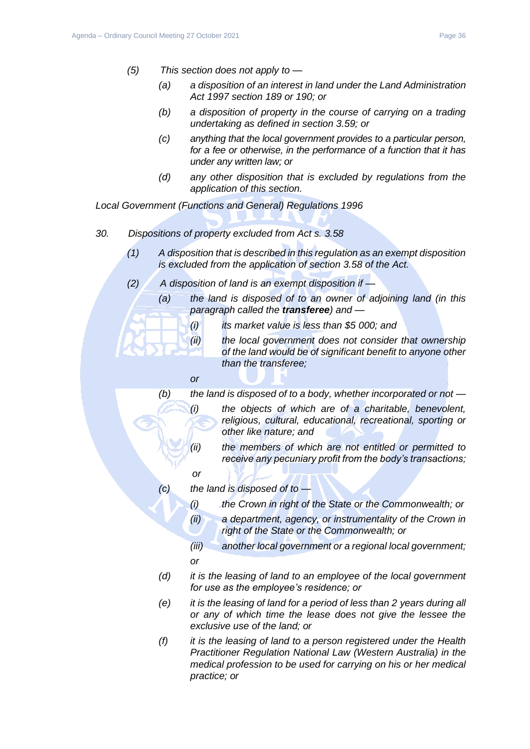- *(5) This section does not apply to —*
	- *(a) a disposition of an interest in land under the Land Administration Act 1997 section 189 or 190; or*
	- *(b) a disposition of property in the course of carrying on a trading undertaking as defined in section 3.59; or*
	- *(c) anything that the local government provides to a particular person, for a fee or otherwise, in the performance of a function that it has under any written law; or*
	- *(d) any other disposition that is excluded by regulations from the application of this section.*

*Local Government (Functions and General) Regulations 1996*

- *30. Dispositions of property excluded from Act s. 3.58*
	- *(1) A disposition that is described in this regulation as an exempt disposition is excluded from the application of section 3.58 of the Act.*
	- *(2) A disposition of land is an exempt disposition if —*
		- *(a) the land is disposed of to an owner of adjoining land (in this paragraph called the transferee) and —*
			- *(i) its market value is less than \$5 000; and*
			- *(ii) the local government does not consider that ownership of the land would be of significant benefit to anyone other than the transferee;*
			- *or*

*(b) the land is disposed of to a body, whether incorporated or not — (i) the objects of which are of a charitable, benevolent, religious, cultural, educational, recreational, sporting or* 

- *(ii) the members of which are not entitled or permitted to receive any pecuniary profit from the body's transactions;*
	- *or*
- *(c) the land is disposed of to —*

*other like nature; and*

- *(i) the Crown in right of the State or the Commonwealth; or*
- *(ii) a department, agency, or instrumentality of the Crown in right of the State or the Commonwealth; or*
- *(iii) another local government or a regional local government; or*
- *(d) it is the leasing of land to an employee of the local government for use as the employee's residence; or*
- *(e) it is the leasing of land for a period of less than 2 years during all or any of which time the lease does not give the lessee the exclusive use of the land; or*
- *(f) it is the leasing of land to a person registered under the Health Practitioner Regulation National Law (Western Australia) in the medical profession to be used for carrying on his or her medical practice; or*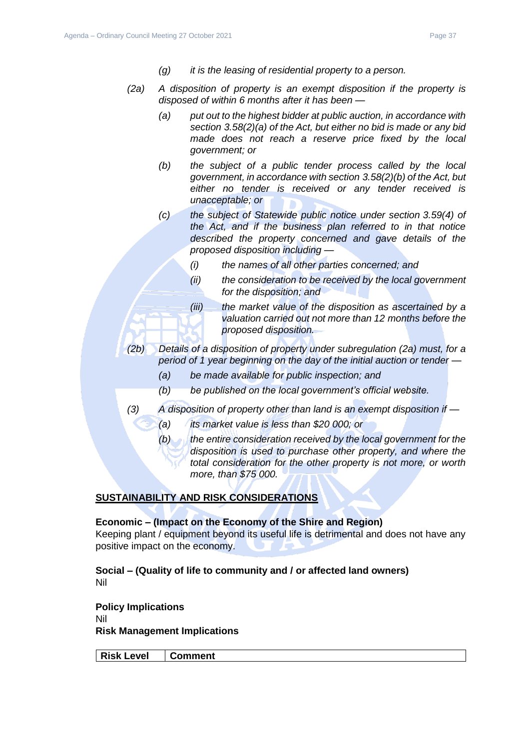- *(g) it is the leasing of residential property to a person.*
- *(2a) A disposition of property is an exempt disposition if the property is disposed of within 6 months after it has been —*
	- *(a) put out to the highest bidder at public auction, in accordance with section 3.58(2)(a) of the Act, but either no bid is made or any bid made does not reach a reserve price fixed by the local government; or*
	- *(b) the subject of a public tender process called by the local government, in accordance with section 3.58(2)(b) of the Act, but either no tender is received or any tender received is unacceptable; or*
	- *(c) the subject of Statewide public notice under section 3.59(4) of the Act, and if the business plan referred to in that notice described the property concerned and gave details of the proposed disposition including —*
		- *(i) the names of all other parties concerned; and*
		- *(ii) the consideration to be received by the local government for the disposition; and*
		- *(iii) the market value of the disposition as ascertained by a valuation carried out not more than 12 months before the proposed disposition.*
- *(2b) Details of a disposition of property under subregulation (2a) must, for a period of 1 year beginning on the day of the initial auction or tender —*
	- *(a) be made available for public inspection; and*
	- *(b) be published on the local government's official website.*
- *(3) A disposition of property other than land is an exempt disposition if —*
	- *(a) its market value is less than \$20 000; or*
	- *(b) the entire consideration received by the local government for the disposition is used to purchase other property, and where the total consideration for the other property is not more, or worth more, than \$75 000.*

### **SUSTAINABILITY AND RISK CONSIDERATIONS**

#### **Economic – (Impact on the Economy of the Shire and Region)**

Keeping plant / equipment beyond its useful life is detrimental and does not have any positive impact on the economy.

**Social – (Quality of life to community and / or affected land owners)** Nil

**Policy Implications** Nil **Risk Management Implications**

**Risk Level Comment**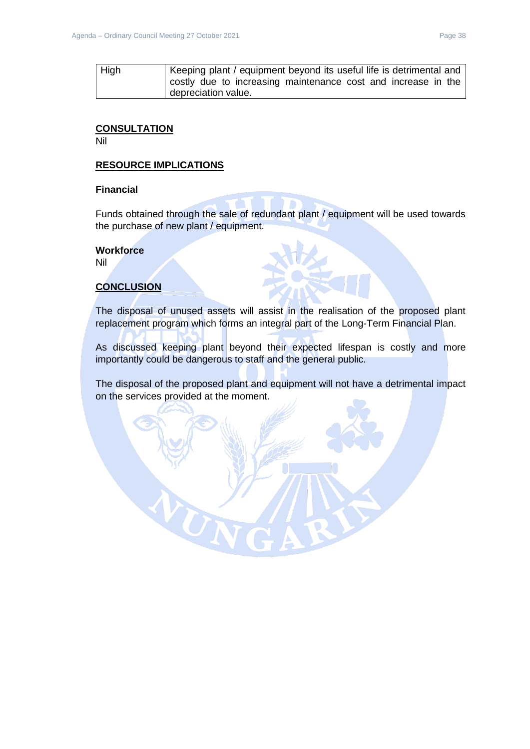| High | Keeping plant / equipment beyond its useful life is detrimental and |
|------|---------------------------------------------------------------------|
|      | costly due to increasing maintenance cost and increase in the       |
|      | depreciation value.                                                 |

### **CONSULTATION**

Nil

### **RESOURCE IMPLICATIONS**

### **Financial**

Funds obtained through the sale of redundant plant / equipment will be used towards the purchase of new plant / equipment.

### **Workforce**

Nil

### **CONCLUSION**

The disposal of unused assets will assist in the realisation of the proposed plant replacement program which forms an integral part of the Long-Term Financial Plan.

As discussed keeping plant beyond their expected lifespan is costly and more importantly could be dangerous to staff and the general public.

The disposal of the proposed plant and equipment will not have a detrimental impact on the services provided at the moment.

UR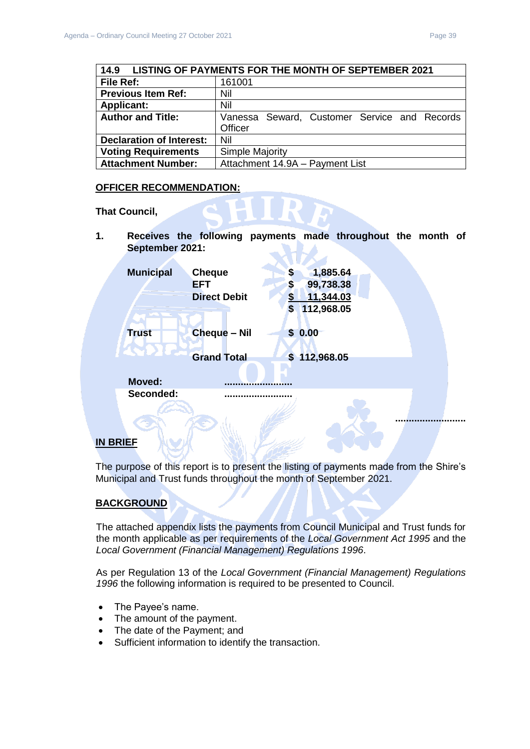<span id="page-38-0"></span>

| 14.9                            | LISTING OF PAYMENTS FOR THE MONTH OF SEPTEMBER 2021 |  |  |
|---------------------------------|-----------------------------------------------------|--|--|
| File Ref:                       | 161001                                              |  |  |
| <b>Previous Item Ref:</b>       | Nil                                                 |  |  |
| <b>Applicant:</b>               | Nil                                                 |  |  |
| <b>Author and Title:</b>        | Vanessa Seward, Customer Service and Records        |  |  |
|                                 | Officer                                             |  |  |
| <b>Declaration of Interest:</b> | Nil                                                 |  |  |
| <b>Voting Requirements</b>      | <b>Simple Majority</b>                              |  |  |
| <b>Attachment Number:</b>       | Attachment 14.9A - Payment List                     |  |  |

### **OFFICER RECOMMENDATION:**

**That Council,** 

**1. Receives the following payments made throughout the month of September 2021:**

| <b>Municipal</b> | <b>Cheque</b>       | S                     | 1,885.64     |  |
|------------------|---------------------|-----------------------|--------------|--|
|                  | <b>EFT</b>          | \$                    | 99,738.38    |  |
|                  | <b>Direct Debit</b> | \$                    | 11,344.03    |  |
|                  |                     | \$                    | 112,968.05   |  |
| <b>Trust</b>     | <b>Cheque - Nil</b> | $\mathbf{\$}$<br>0.00 |              |  |
|                  |                     |                       |              |  |
|                  | <b>Grand Total</b>  |                       | \$112,968.05 |  |
| <b>Moved:</b>    |                     |                       |              |  |
| Seconded:        |                     |                       |              |  |
|                  |                     |                       |              |  |
|                  |                     |                       |              |  |
|                  |                     |                       |              |  |

### **IN BRIEF**

The purpose of this report is to present the listing of payments made from the Shire's Municipal and Trust funds throughout the month of September 2021.

### **BACKGROUND**

The attached appendix lists the payments from Council Municipal and Trust funds for the month applicable as per requirements of the *Local Government Act 1995* and the *Local Government (Financial Management) Regulations 1996*.

As per Regulation 13 of the *Local Government (Financial Management) Regulations 1996* the following information is required to be presented to Council.

- The Payee's name.
- The amount of the payment.
- The date of the Payment; and
- Sufficient information to identify the transaction.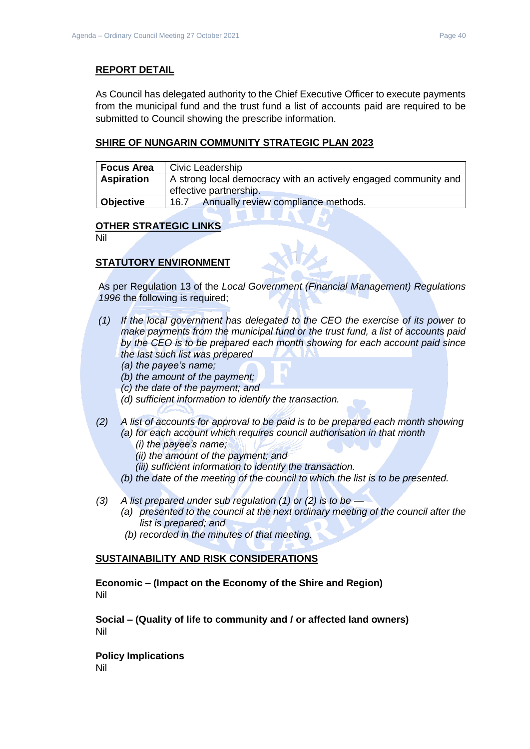### **REPORT DETAIL**

As Council has delegated authority to the Chief Executive Officer to execute payments from the municipal fund and the trust fund a list of accounts paid are required to be submitted to Council showing the prescribe information.

### **SHIRE OF NUNGARIN COMMUNITY STRATEGIC PLAN 2023**

| <b>Focus Area</b> | Civic Leadership                                                                          |
|-------------------|-------------------------------------------------------------------------------------------|
| <b>Aspiration</b> | A strong local democracy with an actively engaged community and<br>effective partnership. |
| Objective         | Annually review compliance methods.<br>16.7                                               |

#### **OTHER STRATEGIC LINKS**

Nil

### **STATUTORY ENVIRONMENT**

As per Regulation 13 of the *Local Government (Financial Management) Regulations 1996* the following is required;

- *(1) If the local government has delegated to the CEO the exercise of its power to make payments from the municipal fund or the trust fund, a list of accounts paid by the CEO is to be prepared each month showing for each account paid since the last such list was prepared* 
	- *(a) the payee's name;*
	- *(b) the amount of the payment;*
	- *(c) the date of the payment; and*
	- *(d) sufficient information to identify the transaction.*
- *(2) A list of accounts for approval to be paid is to be prepared each month showing (a) for each account which requires council authorisation in that month* 
	- *(i) the payee's name;*
	- *(ii) the amount of the payment; and*
	- *(iii) sufficient information to identify the transaction.*
	- *(b) the date of the meeting of the council to which the list is to be presented.*
- *(3) A list prepared under sub regulation (1) or (2) is to be —*
	- *(a) presented to the council at the next ordinary meeting of the council after the list is prepared; and*
	- *(b) recorded in the minutes of that meeting.*

#### **SUSTAINABILITY AND RISK CONSIDERATIONS**

**Economic – (Impact on the Economy of the Shire and Region)** Nil

**Social – (Quality of life to community and / or affected land owners)** Nil

**Policy Implications** Nil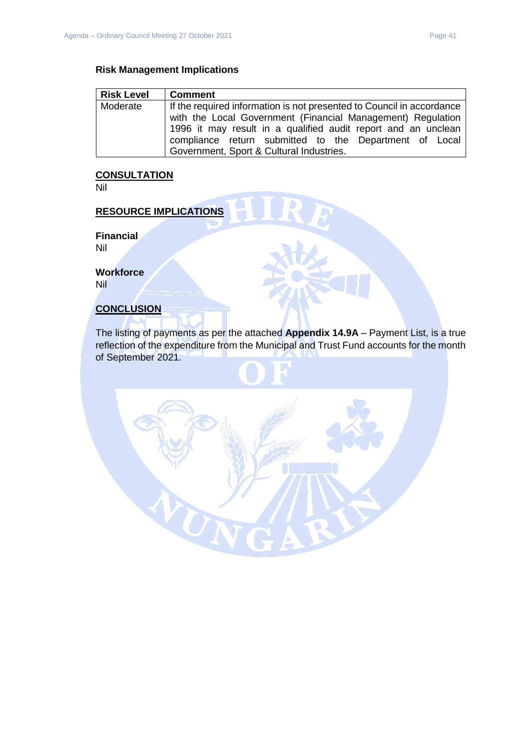### **Risk Management Implications**

| <b>Risk Level</b> | <b>Comment</b>                                                        |
|-------------------|-----------------------------------------------------------------------|
| Moderate          | If the required information is not presented to Council in accordance |
|                   | with the Local Government (Financial Management) Regulation           |
|                   | 1996 it may result in a qualified audit report and an unclean         |
|                   | compliance return submitted to the Department of Local                |
|                   | Government, Sport & Cultural Industries.                              |

### **CONSULTATION**

Nil

## **RESOURCE IMPLICATIONS**

**Financial** Nil

**Workforce**

Nil

### **CONCLUSION**

The listing of payments as per the attached **Appendix 14.9A** – Payment List, is a true reflection of the expenditure from the Municipal and Trust Fund accounts for the month of September 2021.

UN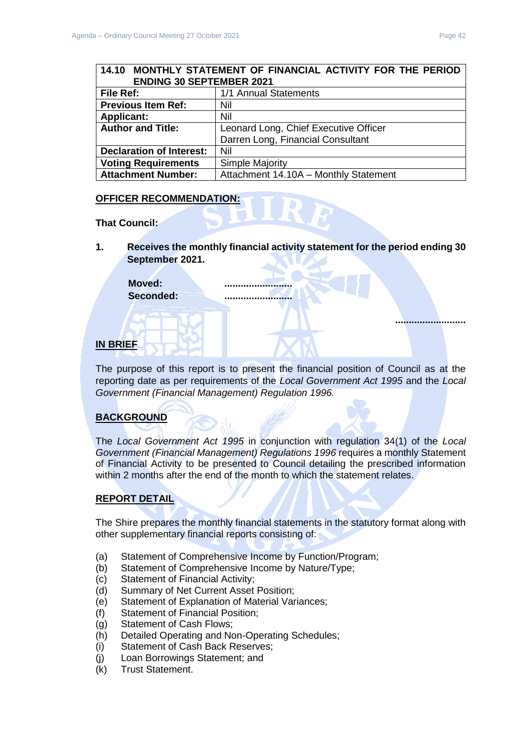### <span id="page-41-0"></span>**14.10 MONTHLY STATEMENT OF FINANCIAL ACTIVITY FOR THE PERIOD ENDING 30 SEPTEMBER 2021**

| File Ref:                       | 1/1 Annual Statements                 |
|---------------------------------|---------------------------------------|
| <b>Previous Item Ref:</b>       | Nil                                   |
| <b>Applicant:</b>               | Nil                                   |
| <b>Author and Title:</b>        | Leonard Long, Chief Executive Officer |
|                                 | Darren Long, Financial Consultant     |
| <b>Declaration of Interest:</b> | Nil                                   |
| <b>Voting Requirements</b>      | <b>Simple Majority</b>                |
| <b>Attachment Number:</b>       | Attachment 14.10A - Monthly Statement |

### **OFFICER RECOMMENDATION:**

**That Council:**

**1. Receives the monthly financial activity statement for the period ending 30 September 2021.**

Moved: **Seconded: .........................**

### **IN BRIEF**

The purpose of this report is to present the financial position of Council as at the reporting date as per requirements of the *Local Government Act 1995* and the *Local Government (Financial Management) Regulation 1996.*

### **BACKGROUND**

The *Local Government Act 1995* in conjunction with regulation 34(1) of the *Local Government (Financial Management) Regulations 1996* requires a monthly Statement of Financial Activity to be presented to Council detailing the prescribed information within 2 months after the end of the month to which the statement relates.

### **REPORT DETAIL**

The Shire prepares the monthly financial statements in the statutory format along with other supplementary financial reports consisting of:

- (a) Statement of Comprehensive Income by Function/Program;
- (b) Statement of Comprehensive Income by Nature/Type;
- (c) Statement of Financial Activity;
- (d) Summary of Net Current Asset Position;
- (e) Statement of Explanation of Material Variances;
- (f) Statement of Financial Position;
- (g) Statement of Cash Flows;
- (h) Detailed Operating and Non-Operating Schedules;
- (i) Statement of Cash Back Reserves;
- (j) Loan Borrowings Statement; and
- (k) Trust Statement.

**..........................**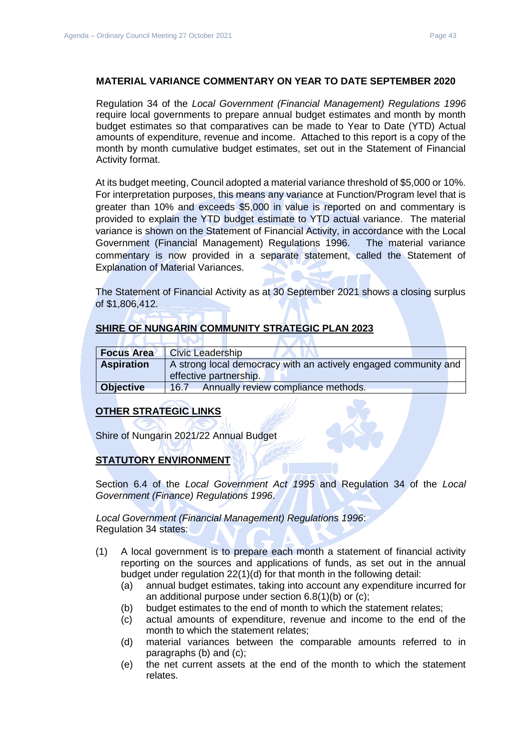#### **MATERIAL VARIANCE COMMENTARY ON YEAR TO DATE SEPTEMBER 2020**

Regulation 34 of the *Local Government (Financial Management) Regulations 1996*  require local governments to prepare annual budget estimates and month by month budget estimates so that comparatives can be made to Year to Date (YTD) Actual amounts of expenditure, revenue and income. Attached to this report is a copy of the month by month cumulative budget estimates, set out in the Statement of Financial Activity format.

At its budget meeting, Council adopted a material variance threshold of \$5,000 or 10%. For interpretation purposes, this means any variance at Function/Program level that is greater than 10% and exceeds \$5,000 in value is reported on and commentary is provided to explain the YTD budget estimate to YTD actual variance. The material variance is shown on the Statement of Financial Activity, in accordance with the Local Government (Financial Management) Regulations 1996. The material variance commentary is now provided in a separate statement, called the Statement of Explanation of Material Variances.

The Statement of Financial Activity as at 30 September 2021 shows a closing surplus of \$1,806,412.

### **SHIRE OF NUNGARIN COMMUNITY STRATEGIC PLAN 2023**

٠

| <b>Focus Area</b> | <b>Civic Leadership</b>                                                                   |
|-------------------|-------------------------------------------------------------------------------------------|
| <b>Aspiration</b> | A strong local democracy with an actively engaged community and<br>effective partnership. |
| <b>Objective</b>  | Annually review compliance methods.<br>16.7                                               |

**AND AND A** 

#### **OTHER STRATEGIC LINKS**

.

Shire of Nungarin 2021/22 Annual Budget

**IVAN** 

#### **STATUTORY ENVIRONMENT**

Section 6.4 of the *Local Government Act 1995* and Regulation 34 of the *Local Government (Finance) Regulations 1996*.

*Local Government (Financial Management) Regulations 1996*: Regulation 34 states:

- (1) A local government is to prepare each month a statement of financial activity reporting on the sources and applications of funds, as set out in the annual budget under regulation 22(1)(d) for that month in the following detail:
	- (a) annual budget estimates, taking into account any expenditure incurred for an additional purpose under section 6.8(1)(b) or (c);
	- (b) budget estimates to the end of month to which the statement relates;
	- (c) actual amounts of expenditure, revenue and income to the end of the month to which the statement relates;
	- (d) material variances between the comparable amounts referred to in paragraphs (b) and (c);
	- (e) the net current assets at the end of the month to which the statement relates.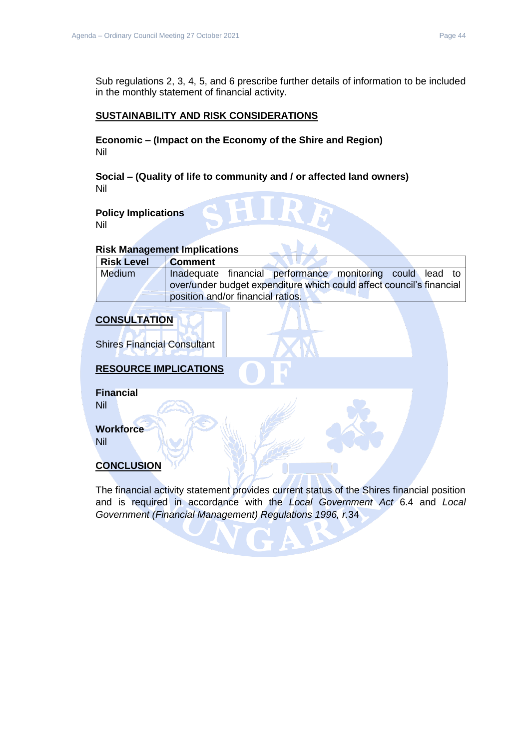Sub regulations 2, 3, 4, 5, and 6 prescribe further details of information to be included in the monthly statement of financial activity.

### **SUSTAINABILITY AND RISK CONSIDERATIONS**

**Economic – (Impact on the Economy of the Shire and Region)** Nil

**Social – (Quality of life to community and / or affected land owners)** Nil

### **Policy Implications**

Nil

### **Risk Management Implications**

| <b>Risk Level</b> | <b>Comment</b>                                                       |
|-------------------|----------------------------------------------------------------------|
| <b>Medium</b>     | Inadequate financial performance monitoring could lead to            |
|                   | over/under budget expenditure which could affect council's financial |
|                   | position and/or financial ratios.                                    |

### **CONSULTATION**

Shires Financial Consultant

### **RESOURCE IMPLICATIONS**

**Financial** Nil

**Workforce**

Nil

### **CONCLUSION**

The financial activity statement provides current status of the Shires financial position and is required in accordance with the *Local Government Act* 6.4 and *Local Government (Financial Management) Regulations 1996, r.*34